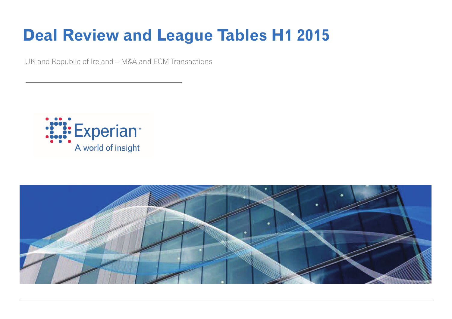# **Deal Review and League Tables H1 2015**

UK and Republic of Ireland – M&A and ECM Transactions



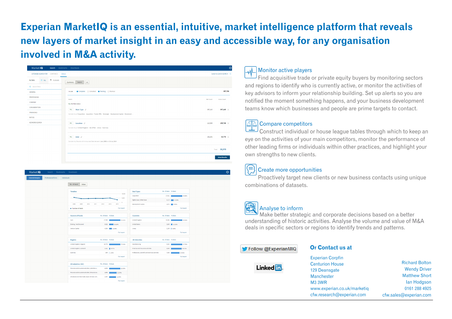# Experian MarketIQ is an essential, intuitive, market intelligence platform that reveals new layers of market insight in an easy and accessible way, for any organisation involved in M&A activity.

| Market IQ<br>Search                                                    | Bookmarks Downloads                                                                                     |           | $\ddot{\mathbf{Q}}$       |
|------------------------------------------------------------------------|---------------------------------------------------------------------------------------------------------|-----------|---------------------------|
| EXTENDED SEARCH FOR<br>COMPANIES                                       | <b>DEALS</b>                                                                                            |           | Switch to QUICK SEARCH -> |
| P FLAGGED<br>$\equiv$ ALL<br><b>FILTERS</b><br><b>Q</b> Search filters | Details   ★<br>Summary                                                                                  |           |                           |
| <b>GENERAL</b>                                                         | Complete C Cancelled Pending C Rumour<br>Include                                                        |           | 397,786                   |
| <b>PROFESSIONS</b><br>COMPANY                                          | Match                                                                                                   | Net Count | <b>Gross Count</b>        |
| CONSIDERATION                                                          | ALL the filters below<br>ALL Main Type $\phi$                                                           | 387,110   | 387,110 $\times$          |
| <b>FINANCIALS</b><br><b>RATIOS</b>                                     | Consider Any of Acquisition - Acquisition - Tender Offer - Demerger - Development Capital - Divestment  |           |                           |
| <b>KEYWORD SEARCH</b>                                                  | ALL <b>Location</b> $\varnothing$<br>Consider Any of United Kingdom - Isle of Man - Jersey - Guernsey   | 113,968   | $109,716 \times$          |
|                                                                        | ALL Date $\varnothing$<br>Consider Any Records with Announced Date between 1 Jan, 2008 and 31 Jul, 2014 | 182,201   | $33,773 \times$           |
|                                                                        |                                                                                                         |           | Total 33,773              |
|                                                                        |                                                                                                         |           | <b>View Results</b>       |

| Market IQ               | Search Bookmarks Downloads        |                                                   |                       |                    |                                                     |                       |                       |  |
|-------------------------|-----------------------------------|---------------------------------------------------|-----------------------|--------------------|-----------------------------------------------------|-----------------------|-----------------------|--|
| <b>General Analysis</b> | Professional Firms<br>Individuals |                                                   |                       |                    |                                                     |                       |                       |  |
|                         |                                   | Value<br>No. of deals                             |                       |                    |                                                     |                       |                       |  |
|                         |                                   | Timeline                                          |                       | 10,000             | <b>Deal Types</b>                                   | No. of deals 96 Deals |                       |  |
|                         |                                   |                                                   |                       | 5,000              | Acquisition                                         | 17,921                | $-53.0646$            |  |
|                         |                                   |                                                   |                       | $\circ$            | Rights Issue / Other Issue                          |                       | 4,115 12.18%          |  |
|                         |                                   | 2008<br>2009<br>2010<br>2011                      | 2012<br>2012          | 2014               | Development Capital                                 |                       | 2,672 3.50%           |  |
|                         |                                   | · Number of deals                                 |                       | <b>Full report</b> |                                                     |                       | Full report           |  |
|                         |                                   |                                                   |                       |                    |                                                     |                       |                       |  |
|                         |                                   | <b>Sources of Funds</b>                           | No. of deals 96 Deals |                    | <b>Countries</b>                                    | No. of deals 96 Deals |                       |  |
|                         |                                   | Cash                                              | 17,363                | 51.41%             | <b>United Kingdom</b>                               | 31,584                | 93.52%                |  |
|                         |                                   | Existing / Not Disclosed                          | 6,822 20.20%          |                    | United States                                       |                       | 3,889 21.52%          |  |
|                         |                                   | Venture Capital                                   | 4,384 22,98%          |                    | Jersey                                              |                       | 1,199   3,55%         |  |
|                         |                                   |                                                   |                       | <b>Full report</b> |                                                     |                       | Full report           |  |
|                         |                                   | <b>Regions</b>                                    | No. of deals % Deals  |                    | <b>UK Industries</b>                                | No. of deals 96 Deals |                       |  |
|                         |                                   | United Kingdom, England                           |                       |                    |                                                     |                       |                       |  |
|                         |                                   |                                                   | 24,770                | 73.3496            | Manufacturing<br>Financial and Insurance activities | 9,363                 | 27.72%                |  |
|                         |                                   | United Kingdom, Scotland                          | 2,321 6.87%           |                    |                                                     | 8,886                 | 26.31%                |  |
|                         |                                   | Guernsey                                          | 854   2.53%           | <b>Full report</b> | Professional, scientific and technical activities   | 7,065                 | 20.92%<br>Full report |  |
|                         |                                   |                                                   |                       |                    |                                                     |                       |                       |  |
|                         |                                   | <b>US Industries (SIC)</b>                        | No. of deals 96 Deals |                    |                                                     |                       |                       |  |
|                         |                                   | Financial and Insurance activities   Activities a | 0,975                 | 20.65%             |                                                     |                       |                       |  |
|                         |                                   | Financial and Insurance activities   Financial se | 4,092                 | 13.89%             |                                                     |                       |                       |  |
|                         |                                   | Wholesale and retail trade; repair of motor veh   | 4,367                 | 12.93%             |                                                     |                       |                       |  |
|                         |                                   |                                                   |                       | <b>Full report</b> |                                                     |                       |                       |  |

#### Monitor active players

Find acquisitive trade or private equity buyers by monitoring sectors and regions to identify who is currently active, or monitor the activities of key advisors to inform your relationship building. Set up alerts so you are notified the moment something happens, and your business development teams know which businesses and people are prime targets to contact.

#### **△△△** Compare competitors

Construct individual or house league tables through which to keep an eye on the activities of your main competitors, monitor the performance of other leading firms or individuals within other practices, and highlight your own strengths to new clients.

#### Create more opportunities

Proactively target new clients or new business contacts using unique combinations of datasets.



#### Analyse to inform

Make better strategic and corporate decisions based on a better understanding of historic activities. Analyse the volume and value of M&A deals in specific sectors or regions to identify trends and patterns.

#### Follow @ExperianMIQ

#### **Or Contact us at**



**Experian Corpfin Centurion House** 129 Deansgate Manchester **M3 3WR** www.experian.co.uk/marketig cfw.research@experian.com

**Richard Bolton Wendy Driver Matthew Short** lan Hodgson 0161 288 4925 cfw.sales@experian.com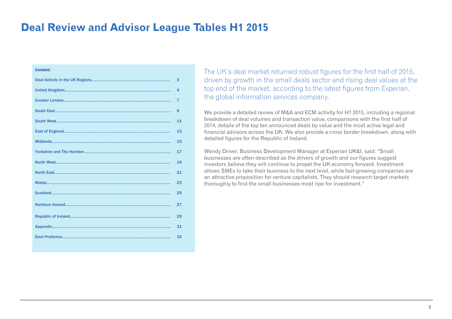#### **Deal Review and Advisor League Tables H1 2015**

| <b>Content:</b> |                |
|-----------------|----------------|
|                 | 3              |
|                 | 4              |
|                 | $\overline{7}$ |
|                 | 9              |
|                 | 11             |
|                 | 13             |
|                 | 15             |
|                 | 17             |
|                 | 19             |
|                 | 21             |
|                 | 23             |
|                 | 25             |
|                 | 27             |
|                 | 29             |
|                 | 31             |
|                 | 32             |
|                 |                |

The UK's deal market returned robust figures for the first half of 2015, driven by growth in the small deals sector and rising deal values at the top end of the market, according to the latest figures from Experian, the global information services company.

We provide a detailed review of M&A and ECM activity for H1 2015, including a regional breakdown of deal volumes and transaction value, comparisons with the first half of 2014, details of the top ten announced deals by value and the most active legal and financial advisors across the UK. We also provide a cross border breakdown, along with detailed figures for the Republic of Ireland.

Wendy Driver, Business Development Manager at Experian UK&I, said: "Small businesses are often described as the drivers of growth and our figures suggest investors believe they will continue to propel the UK economy forward. Investment allows SMEs to take their business to the next level, while fast-growing companies are an attractive proposition for venture capitalists. They should research target markets thoroughly to find the small businesses most ripe for investment."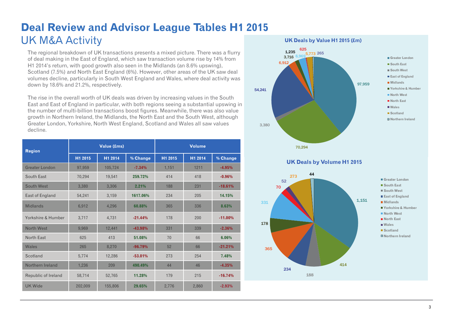# **Deal Review and Advisor League Tables H1 2015**  UK M&A Activity

The regional breakdown of UK transactions presents a mixed picture. There was a flurry of deal making in the East of England, which saw transaction volume rise by 14% from H1 2014's return, with good growth also seen in the Midlands (an 8.6% upswing), Scotland (7.5%) and North East England (6%). However, other areas of the UK saw deal volumes decline, particularly in South West England and Wales, where deal activity was down by 18.6% and 21.2%, respectively.

The rise in the overall worth of UK deals was driven by increasing values in the South East and East of England in particular, with both regions seeing a substantial upswing in the number of multi-billion transactions boost figures. Meanwhile, there was also value growth in Northern Ireland, the Midlands, the North East and the South West, although Greater London, Yorkshire, North West England, Scotland and Wales all saw values decline.

| <b>Region</b>         |                     | Value (£ms) |           | <b>Volume</b>       |         |           |  |
|-----------------------|---------------------|-------------|-----------|---------------------|---------|-----------|--|
|                       | H <sub>1</sub> 2015 | H1 2014     | % Change  | H <sub>1</sub> 2015 | H1 2014 | % Change  |  |
| <b>Greater London</b> | 97,959              | 105,724     | $-7.34%$  | 1,151               | 1211    | $-4.95%$  |  |
| South East            | 70,294              | 19,541      | 259.72%   | 414                 | 418     | $-0.96%$  |  |
| South West            | 3,380               | 3,306       | 2.21%     | 188                 | 231     | $-18.61%$ |  |
| East of England       | 54,241              | 3,159       | 1617.06%  | 234                 | 205     | 14.15%    |  |
| <b>Midlands</b>       | 6,912               | 4,296       | 60.88%    | 365                 | 336     | 8.63%     |  |
| Yorkshire & Humber    | 3,717               | 4.731       | $-21.44%$ | 178                 | 200     | $-11.00%$ |  |
| North West            | 9,969               | 12,441      | $-43.98%$ | 331                 | 339     | $-2.36%$  |  |
| North East            | 625                 | 413         | 51.08%    | 70                  | 66      | 6.06%     |  |
| Wales                 | 265                 | 8,270       | $-96.79%$ | 52                  | 66      | $-21.21%$ |  |
| Scotland              | 5,774               | 12,286      | $-53.01%$ | 273                 | 254     | 7.48%     |  |
| Northern Ireland      | 1,236               | 209         | 490.49%   | 44                  | 46      | $-4.35%$  |  |
| Republic of Ireland   | 58,714              | 52,765      | 11.28%    | 179                 | 215     | $-16.74%$ |  |
| <b>UK Wide</b>        | 202,009             | 155,806     | 29.65%    | 2,776               | 2,860   | $-2.93%$  |  |



**UK Deals by Volume H1 2015**

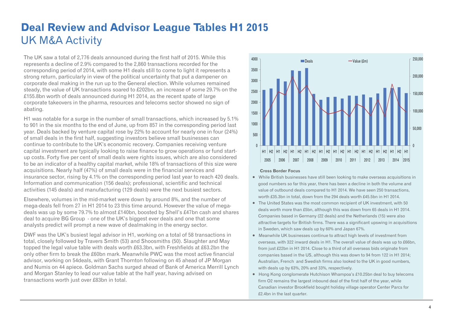#### **Deal Review and Advisor League Tables H1 2015**  UK M&A Activity

The UK saw a total of 2,776 deals announced during the first half of 2015. While this represents a decline of 2.9% compared to the 2,860 transactions recorded for the corresponding period of 2014, with some H1 deals still to come to light it represents a strong return, particularly in view of the political uncertainty that put a dampener on corporate deal making in the run up to the General election. While volumes remained steady, the value of UK transactions soared to £202bn, an increase of some 29.7% on the £155.8bn worth of deals announced during H1 2014, as the recent spate of large corporate takeovers in the pharma, resources and telecoms sector showed no sign of abating.

H1 was notable for a surge in the number of small transactions, which increased by 5.1% to 901 in the six months to the end of June, up from 857 in the corresponding period last year. Deals backed by venture capital rose by 22% to account for nearly one in four (24%) of small deals in the first half, suggesting investors believe small businesses can continue to contribute to the UK's economic recovery. Companies receiving venture capital investment are typically looking to raise finance to grow operations or fund startup costs. Forty five per cent of small deals were rights issues, which are also considered to be an indicator of a healthy capital market, while 18% of transactions of this size were acquisitions. Nearly half (47%) of small deals were in the financial services and insurance sector, rising by 4.1% on the corresponding period last year to reach 420 deals. Information and communication (156 deals); professional, scientific and technical activities (145 deals) and manufacturing (129 deals) were the next busiest sectors.

Elsewhere, volumes in the mid-market were down by around 8%, and the number of mega-deals fell from 27 in H1 2014 to 23 this time around. However the value of megadeals was up by some 79.7% to almost £140bn, boosted by Shell's £47bn cash and shares deal to acquire BG Group - one of the UK's biggest ever deals and one that some analysts predict will prompt a new wave of dealmaking in the energy sector.

DWF was the UK's busiest legal advisor in H1, working on a total of 58 transactions in total, closely followed by Travers Smith (53) and Shoosmiths (50). Slaughter and May topped the legal value table with deals worth £63.3bn, with Freshfields at £63.2bn the only other firm to break the £60bn mark. Meanwhile PWC was the most active financial advisor, working on 54deals, with Grant Thornton following on 45 ahead of JP Morgan and Numis on 44 apiece. Goldman Sachs surged ahead of Bank of America Merrill Lynch and Morgan Stanley to lead our value table at the half year, having advised on transactions worth just over £83bn in total.



#### **Cross Border Focus**

- While British businesses have still been looking to make overseas acquisitions in good numbers so far this year, there has been a decline in both the volume and value of outbound deals compared to H1 2014. We have seen 250 transactions, worth £35.3bn in total, down from the 294 deals worth £45.5bn in H1 2014.
- The United States was the most common recipient of UK investment, with 50 deals worth more than £5bn, although this was down from 65 deals in H1 2014. Companies based in Germany (22 deals) and the Netherlands (15) were also attractive targets for British firms. There was a significant upswing in acquisitions in Sweden, which saw deals up by 60% and Japan 67%.
- Meanwhile UK businesses continue to attract high levels of investment from overseas, with 322 inward deals in H1. The overall value of deals was up to £66bn, from just £22bn in H1 2014. Close to a third of all overseas bids originate from companies based in the US, although this was down to 94 from 122 in H1 2014; Australian, French and Swedish firms also looked to the UK in good numbers, with deals up by 63%, 20% and 33%, respectively.
- Hong Kong conglomerate Hutchison Whampoa's £10.25bn deal to buy telecoms firm O2 remains the largest inbound deal of the first half of the year, while Canadian investor Brookfield bought holiday village operator Center Parcs for £2.4bn in the last quarter.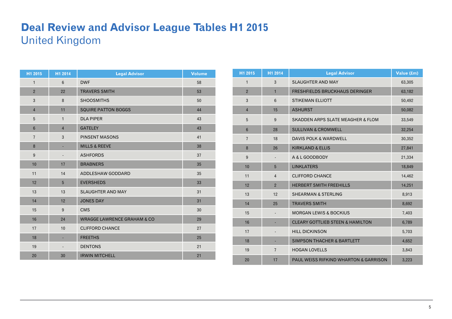### **Deal Review and Advisor League Tables H1 2015**  United Kingdom

| H1 2015        | H1 2014                  | <b>Legal Advisor</b>                    | <b>Volume</b> |
|----------------|--------------------------|-----------------------------------------|---------------|
| $\mathbf{1}$   | $6\phantom{1}$           | <b>DWF</b>                              | 58            |
| $\overline{2}$ | 22                       | <b>TRAVERS SMITH</b>                    | 53            |
| 3              | 8                        | <b>SHOOSMITHS</b>                       | 50            |
| $\overline{4}$ | 11                       | <b>SQUIRE PATTON BOGGS</b>              | 44            |
| 5              | $\mathbf{1}$             | <b>DLA PIPER</b>                        | 43            |
| $6\phantom{1}$ | $\overline{4}$           | <b>GATELEY</b>                          | 43            |
| $\overline{7}$ | 3                        | <b>PINSENT MASONS</b>                   | 41            |
| 8              | ٠                        | <b>MILLS &amp; REEVE</b>                | 38            |
| 9              | $\overline{\phantom{a}}$ | <b>ASHFORDS</b>                         | 37            |
| 10             | 17                       | <b>BRABNERS</b>                         | 35            |
| 11             | 14                       | ADDLESHAW GODDARD                       | 35            |
| 12             | 5                        | <b>EVERSHEDS</b>                        | 33            |
| 13             | 13                       | <b>SLAUGHTER AND MAY</b>                | 31            |
| 14             | 12                       | <b>JONES DAY</b>                        | 31            |
| 15             | 9                        | <b>CMS</b>                              | 30            |
| 16             | 24                       | <b>WRAGGE LAWRENCE GRAHAM &amp; CO.</b> | 29            |
| 17             | 10                       | <b>CLIFFORD CHANCE</b>                  | 27            |
| 18             | ٠                        | <b>FREETHS</b>                          | 25            |
| 19             | $\overline{\phantom{a}}$ | <b>DENTONS</b>                          | 21            |
| 20             | 30                       | <b>IRWIN MITCHELL</b>                   | 21            |

| H1 2015        | H1 2014        | <b>Legal Advisor</b>                             | Value (£m) |
|----------------|----------------|--------------------------------------------------|------------|
| $\mathbf{1}$   | 3              | <b>SLAUGHTER AND MAY</b>                         | 63,305     |
| $\overline{2}$ | $\mathbf{1}$   | <b>FRESHFIELDS BRUCKHAUS DERINGER</b>            | 63,182     |
| 3              | $6\phantom{1}$ | <b>STIKEMAN ELLIOTT</b>                          | 50,492     |
| $\overline{4}$ | 15             | <b>ASHURST</b>                                   | 50,082     |
| 5              | 9              | <b>SKADDEN ARPS SLATE MEAGHER &amp; FLOM</b>     | 33,549     |
| $6\phantom{1}$ | 28             | <b>SULLIVAN &amp; CROMWELL</b>                   | 32,254     |
| $\overline{7}$ | 18             | <b>DAVIS POLK &amp; WARDWELL</b>                 | 30,352     |
| 8              | 26             | <b>KIRKLAND &amp; ELLIS</b>                      | 27,841     |
| 9              |                | A & L GOODBODY                                   | 21,334     |
| 10             | 5              | <b>LINKLATERS</b>                                | 18,849     |
| 11             | $\overline{4}$ | <b>CLIFFORD CHANCE</b>                           | 14,462     |
| 12             | $\overline{2}$ | <b>HERBERT SMITH FREEHILLS</b>                   | 14,251     |
| 13             | 12             | <b>SHEARMAN &amp; STERLING</b>                   | 8,913      |
| 14             | 25             | <b>TRAVERS SMITH</b>                             | 8,692      |
| 15             |                | <b>MORGAN LEWIS &amp; BOCKIUS</b>                | 7,403      |
| 16             |                | <b>CLEARY GOTTLIEB STEEN &amp; HAMILTON</b>      | 6,789      |
| 17             |                | <b>HILL DICKINSON</b>                            | 5,703      |
| 18             |                | <b>SIMPSON THACHER &amp; BARTLETT</b>            | 4,652      |
| 19             | $\overline{7}$ | <b>HOGAN LOVELLS</b>                             | 3,843      |
| 20             | 17             | <b>PAUL WEISS RIFKIND WHARTON &amp; GARRISON</b> | 3,223      |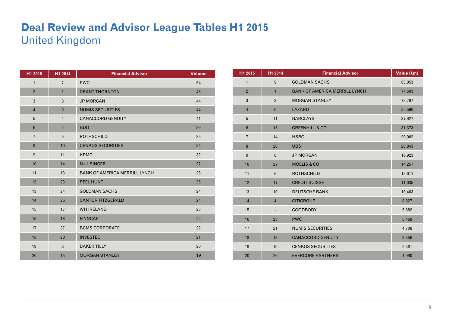### **Deal Review and Advisor League Tables H1 2015**  United Kingdom

| H1 2015        | H1 2014        | <b>Financial Advisor</b>             | <b>Volume</b> |
|----------------|----------------|--------------------------------------|---------------|
| $\mathbf{1}$   | $\overline{7}$ | <b>PWC</b>                           | 54            |
| $\overline{2}$ | $\mathbf{1}$   | <b>GRANT THORNTON</b>                | 45            |
| 3              | 8              | <b>JP MORGAN</b>                     | 44            |
| $\overline{4}$ | 9              | <b>NUMIS SECURITIES</b>              | 44            |
| 5              | $\overline{4}$ | <b>CANACCORD GENUITY</b>             | 41            |
| $6\phantom{1}$ | $\overline{2}$ | <b>BDO</b>                           | 39            |
| $\overline{7}$ | 5              | <b>ROTHSCHILD</b>                    | 35            |
| 8              | 10             | <b>CENKOS SECURITIES</b>             | 34            |
| 9              | 11             | <b>KPMG</b>                          | 32            |
| 10             | 14             | $N+1$ SINGER                         | 27            |
| 11             | 13             | <b>BANK OF AMERICA MERRILL LYNCH</b> | 25            |
| 12             | 23             | <b>PEEL HUNT</b>                     | 25            |
| 13             | 24             | <b>GOLDMAN SACHS</b>                 | 24            |
| 14             | 26             | <b>CANTOR FITZGERALD</b>             | 24            |
| 15             | 17             | <b>WH IRELAND</b>                    | 23            |
| 16             | 18             | <b>FINNCAP</b>                       | 22            |
| 17             | 37             | <b>BCMS CORPORATE</b>                | 22            |
| 18             | 20             | <b>INVESTEC</b>                      | 21            |
| 19             | $6\phantom{1}$ | <b>BAKER TILLY</b>                   | 20            |
| 20             | 15             | <b>MORGAN STANLEY</b>                | 19            |

| H1 2015          | H1 2014        | <b>Financial Advisor</b>             | Value (£m) |
|------------------|----------------|--------------------------------------|------------|
| $\mathbf{1}$     | 9              | <b>GOLDMAN SACHS</b>                 | 83,053     |
| $\overline{2}$   | $\mathbf{1}$   | <b>BANK OF AMERICA MERRILL LYNCH</b> | 74,503     |
| 3                | 3              | <b>MORGAN STANLEY</b>                | 73,797     |
| $\overline{4}$   | $6\phantom{1}$ | LAZARD                               | 55,590     |
| 5                | 11             | <b>BARCLAYS</b>                      | 37,927     |
| $6\phantom{1}$   | 15             | <b>GREENHILL &amp; CO</b>            | 31,373     |
| $\overline{7}$   | 14             | <b>HSBC</b>                          | 20,902     |
| $\boldsymbol{8}$ | 20             | <b>UBS</b>                           | 20,843     |
| 9                | $\bf 8$        | <b>JP MORGAN</b>                     | 16,923     |
| 10               | 27             | <b>MOELIS &amp; CO</b>               | 14,257     |
| 11               | 5              | <b>ROTHSCHILD</b>                    | 13,611     |
| 12               | 17             | <b>CREDIT SUISSE</b>                 | 11,035     |
| 13               | 10             | <b>DEUTSCHE BANK</b>                 | 10,463     |
| 14               | $\overline{4}$ | <b>CITIGROUP</b>                     | 8,627      |
| 15               |                | <b>GOODBODY</b>                      | 5,682      |
| 16               | 28             | <b>PWC</b>                           | 5,468      |
| 17               | 21             | <b>NUMIS SECURITIES</b>              | 4,708      |
| 18               | 13             | <b>CANACCORD GENUITY</b>             | 3,356      |
| 19               | 19             | <b>CENKOS SECURITIES</b>             | 2,481      |
| 20               | 26             | <b>EVERCORE PARTNERS</b>             | 1,990      |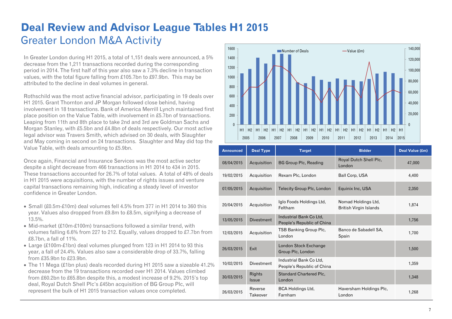### **Deal Review and Advisor League Tables H1 2015**  Greater London M&A Activity

In Greater London during H1 2015, a total of 1,151 deals were announced, a 5% decrease from the 1,211 transactions recorded during the corresponding period in 2014. The first half of this year also saw a 7.3% decline in transaction values, with the total figure falling from £105.7bn to £97.9bn. This may be attributed to the decline in deal volumes in general.

Rothschild was the most active financial advisor, participating in 19 deals over H1 2015. Grant Thornton and JP Morgan followed close behind, having involvement in 18 transactions. Bank of America Merrill Lynch maintained first place position on the Value Table, with involvement in £5.7bn of transactions. Leaping from 11th and 8th place to take 2nd and 3rd are Goldman Sachs and Morgan Stanley, with £5.5bn and £4.8bn of deals respectively. Our most active legal advisor was Travers Smith, which advised on 30 deals, with Slaughter and May coming in second on 24 transactions. Slaughter and May did top the Value Table, with deals amounting to £5.9bn.

Once again, Financial and Insurance Services was the most active sector despite a slight decrease from 466 transactions in H1 2014 to 434 in 2015. These transactions accounted for 26.7% of total values. A total of 48% of deals in H1 2015 were acquisitions, with the number of rights issues and venture capital transactions remaining high, indicating a steady level of investor confidence in Greater London.

- $\bullet$  Small (£0.5m-£10m) deal volumes fell 4.5% from 377 in H1 2014 to 360 this year. Values also dropped from £9.8m to £8.5m, signifying a decrease of 13.5%.
- Mid-market (£10m-£100m) transactions followed a similar trend, with volumes falling 6.6% from 227 to 212. Equally, values dropped to £7.7bn from £8.7bn, a fall of 11%.
- Large (£100m-£1bn) deal volumes plunged from 123 in H1 2014 to 93 this year, a fall of 24.4%. Values also saw a considerable drop of 33.7%, falling from £35.9bn to £23.9bn.
- The 11 Mega (£1bn plus) deals recorded during H1 2015 saw a sizeable 41.2% decrease from the 19 transactions recorded over H1 2014. Values climbed from £60.2bn to £65.8bn despite this, a modest increase of 9.2%. 2015's top deal, Royal Dutch Shell Plc's £45bn acquisition of BG Group Plc, will represent the bulk of H1 2015 transaction values once completed.



| <b>Announced</b> | <b>Deal Type</b>       | <b>Target</b>                                         | <b>Bidder</b>                                 | Deal Value (£m) |
|------------------|------------------------|-------------------------------------------------------|-----------------------------------------------|-----------------|
| 08/04/2015       | Acquisition            | <b>BG Group Plc, Reading</b>                          | Royal Dutch Shell Plc,<br>London              | 47,000          |
| 19/02/2015       | Acquisition            | Rexam Plc, London                                     | Ball Corp, USA                                | 4.400           |
| 07/05/2015       | Acquisition            | <b>Telecity Group Plc, London</b>                     | Equinix Inc, USA                              | 2,350           |
| 20/04/2015       | Acquisition            | Iglo Foods Holdings Ltd,<br>Feltham                   | Nomad Holdings Ltd,<br>British Virgin Islands | 1,874           |
| 13/05/2015       | <b>Divestment</b>      | Industrial Bank Co Ltd.<br>People's Republic of China |                                               | 1,756           |
| 12/03/2015       | Acquisition            | <b>TSB Banking Group Plc.</b><br>London               | Banco de Sabadell SA,<br>Spain                | 1,700           |
| 26/03/2015       | Exit                   | London Stock Exchange<br>Group Plc, London            |                                               | 1,500           |
| 10/02/2015       | <b>Divestment</b>      | Industrial Bank Co Ltd,<br>People's Republic of China |                                               | 1,359           |
| 30/03/2015       | Rights<br><i>Issue</i> | <b>Standard Chartered Plc,</b><br>London              |                                               | 1,348           |
| 26/03/2015       | Reverse<br>Takeover    | <b>BCA Holdings Ltd.</b><br>Farnham                   | Haversham Holdings Plc,<br>London             | 1,268           |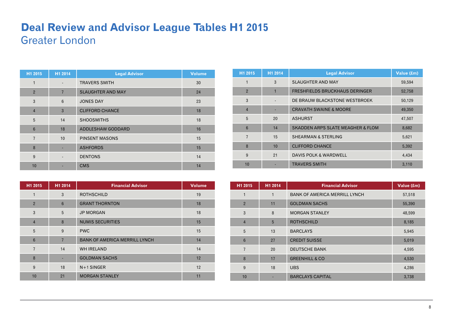#### **Deal Review and Advisor League Tables H1 2015**  Greater London

| H1 2015         | H1 2014                  | <b>Legal Advisor</b>     | <b>Volume</b> |
|-----------------|--------------------------|--------------------------|---------------|
| 1               | $\overline{\phantom{a}}$ | <b>TRAVERS SMITH</b>     | 30            |
| $\overline{2}$  | $\overline{7}$           | <b>SLAUGHTER AND MAY</b> | 24            |
| 3               | 6                        | <b>JONES DAY</b>         | 23            |
| $\overline{4}$  | 3                        | <b>CLIFFORD CHANCE</b>   | 18            |
| 5               | 14                       | <b>SHOOSMITHS</b>        | 18            |
| $6\phantom{1}6$ | 18                       | ADDLESHAW GODDARD        | 16            |
| $\overline{7}$  | 10                       | <b>PINSENT MASONS</b>    | 15            |
| 8               |                          | <b>ASHFORDS</b>          | 15            |
| 9               | $\overline{\phantom{a}}$ | <b>DENTONS</b>           | 14            |
| 10              |                          | <b>CMS</b>               | 14            |

| H1 2015        | H1 2014        | <b>Financial Advisor</b>             | <b>Volume</b> |
|----------------|----------------|--------------------------------------|---------------|
| 1              | 3              | <b>ROTHSCHILD</b>                    | 19            |
| $\overline{2}$ | $6\phantom{1}$ | <b>GRANT THORNTON</b>                | 18            |
| 3              | 5              | <b>JP MORGAN</b>                     | 18            |
| $\overline{4}$ | 8              | <b>NUMIS SECURITIES</b>              | 15            |
| 5              | 9              | <b>PWC</b>                           | 15            |
| 6              | $\overline{7}$ | <b>BANK OF AMERICA MERRILL LYNCH</b> | 14            |
| $\overline{7}$ | 14             | <b>WH IRELAND</b>                    | 14            |
| 8              |                | <b>GOLDMAN SACHS</b>                 | 12            |
| 9              | 18             | $N+1$ SINGER                         | 12            |
| 10             | 21             | <b>MORGAN STANLEY</b>                | 11            |

| H1 2015        | H1 2014 | <b>Legal Advisor</b>                         | Value (£m) |
|----------------|---------|----------------------------------------------|------------|
| 1              | 3       | <b>SLAUGHTER AND MAY</b>                     | 59,594     |
| $\overline{2}$ |         | <b>FRESHFIELDS BRUCKHAUS DERINGER</b>        | 52,758     |
| 3              |         | DE BRAUW BLACKSTONE WESTBROEK                | 50,129     |
| $\overline{4}$ |         | <b>CRAVATH SWAINE &amp; MOORE</b>            | 49,350     |
| 5              | 20      | <b>ASHURST</b>                               | 47,507     |
| 6              | 14      | <b>SKADDEN ARPS SLATE MEAGHER &amp; FLOM</b> | 8,682      |
| 7              | 15      | <b>SHEARMAN &amp; STERLING</b>               | 5,621      |
| 8              | 10      | <b>CLIFFORD CHANCE</b>                       | 5,392      |
| 9              | 21      | DAVIS POLK & WARDWELL                        | 4,434      |
| 10             |         | <b>TRAVERS SMITH</b>                         | 3,110      |

| H1 2015         | H1 2014 | <b>Financial Advisor</b>             | Value (£m) |
|-----------------|---------|--------------------------------------|------------|
| 1               | 1       | <b>BANK OF AMERICA MERRILL LYNCH</b> | 57,518     |
| $\overline{2}$  | 11      | <b>GOLDMAN SACHS</b>                 | 55,390     |
| 3               | 8       | <b>MORGAN STANLEY</b>                | 48,599     |
| $\overline{4}$  | 5       | <b>ROTHSCHILD</b>                    | 8,185      |
| 5               | 13      | <b>BARCLAYS</b>                      | 5,945      |
| $6\phantom{1}6$ | 27      | <b>CREDIT SUISSE</b>                 | 5,019      |
| $\overline{7}$  | 20      | <b>DEUTSCHE BANK</b>                 | 4,595      |
| 8               | 17      | <b>GREENHILL &amp; CO</b>            | 4,530      |
| 9               | 18      | <b>UBS</b>                           | 4,286      |
| 10              |         | <b>BARCLAYS CAPITAL</b>              | 3,738      |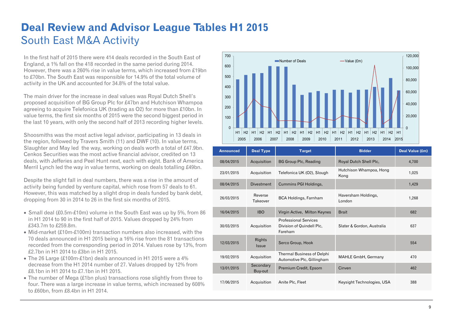# **Deal Review and Advisor League Tables H1 2015**  South East M&A Activity

In the first half of 2015 there were 414 deals recorded in the South East of England, a 1% fall on the 418 recorded in the same period during 2014. However, there was a 260% rise in value terms, which increased from £19bn to £70bn. The South East was responsible for 14.9% of the total volume of activity in the UK and accounted for 34.8% of the total value.

The main driver for the increase in deal values was Royal Dutch Shell's proposed acquisition of BG Group Plc for £47bn and Hutchison Whampoa agreeing to acquire Telefonica UK (trading as O2) for more than £10bn. In value terms, the first six months of 2015 were the second biggest period in the last 10 years, with only the second half of 2013 recording higher levels.

Shoosmiths was the most active legal advisor, participating in 13 deals in the region, followed by Travers Smith (11) and DWF (10). In value terms, Slaughter and May led the way, working on deals worth a total of £47.9bn. Cenkos Securities was the most active financial advisor, credited on 13 deals, with Jefferies and Peel Hunt next, each with eight. Bank of America Merril Lynch led the way in value terms, working on deals totalling £49bn.

Despite the slight fall in deal numbers, there was a rise in the amount of activity being funded by venture capital, which rose from 57 deals to 61. However, this was matched by a slight drop in deals funded by bank debt, dropping from 30 in 2014 to 26 in the first six months of 2015.

- Small deal (£0.5m-£10m) volume in the South East was up by 5%, from 86 in H1 2014 to 90 in the first half of 2015. Values dropped by 24% from £343.7m to £259.8m.
- Mid-market (£10m-£100m) transaction numbers also increased, with the 70 deals announced in H1 2015 being a 16% rise from the 81 transactions recorded from the corresponding period in 2014. Values rose by 13%, from £2.7bn in H1 2014 to £3bn in H1 2015.
- The 26 Large (£100m-£1bn) deals announced in H1 2015 were a 4% decrease from the H1 2014 number of 27. Values dropped by 12% from £8.1bn in H1 2014 to £7.1bn in H1 2015.
- The number of Mega (£1bn plus) transactions rose slightly from three to four. There was a large increase in value terms, which increased by 608% to £60bn, from £8.4bn in H1 2014.



| <b>Announced</b> | <b>Deal Type</b>       | <b>Target</b>                                                        | <b>Bidder</b>                   | Deal Value (£m) |
|------------------|------------------------|----------------------------------------------------------------------|---------------------------------|-----------------|
| 08/04/2015       | Acquisition            | <b>BG Group Plc, Reading</b>                                         | Royal Dutch Shell Plc.          | 4,700           |
| 23/01/2015       | Acquisition            | Telefonica UK (O2), Slough                                           | Hutchison Whampoa, Hong<br>Kong | 1,025           |
| 08/04/2015       | <b>Divestment</b>      | Cummins PGI Holdings,                                                |                                 | 1,429           |
| 26/03/2015       | Reverse<br>Takeover    | <b>BCA Holdings, Farnham</b>                                         | Haversham Holdings,<br>London   | 1,268           |
| 16/04/2015       | <b>IBO</b>             | Virgin Active, Milton Keynes                                         | <b>Brait</b>                    | 682             |
| 30/03/2015       | Acquisition            | <b>Professional Services</b><br>Division of Quindell Plc,<br>Fareham | Slater & Gordon, Australia      | 637             |
| 12/03/2015       | Rights<br><i>Issue</i> | Serco Group, Hook                                                    |                                 | 554             |
| 19/02/2015       | Acquisition            | <b>Thermal Business of Delphi</b><br>Automotive Plc, Gillingham      | <b>MAHLE GmbH, Germany</b>      | 470             |
| 13/01/2015       | Secondary<br>Buy-out   | Premium Credit, Epsom                                                | Cinven                          | 462             |
| 17/06/2015       | Acquisition            | Anite Plc, Fleet                                                     | Keysight Technologies, USA      | 388             |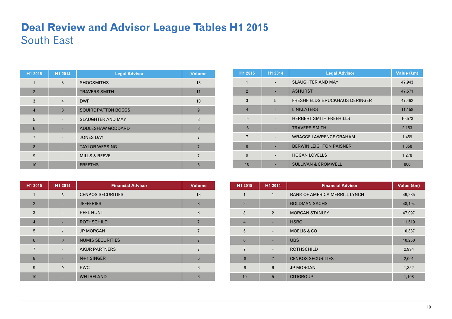### **Deal Review and Advisor League Tables H1 2015**  South East

| H1 2015        | H1 2014        | <b>Legal Advisor</b>       | <b>Volume</b>  |
|----------------|----------------|----------------------------|----------------|
|                | 3              | <b>SHOOSMITHS</b>          | 13             |
| $\overline{2}$ | ٠              | <b>TRAVERS SMITH</b>       | 11             |
| 3              | $\overline{4}$ | <b>DWF</b>                 | 10             |
| $\overline{4}$ | 8              | <b>SQUIRE PATTON BOGGS</b> | 9              |
| 5              |                | <b>SLAUGHTER AND MAY</b>   | 8              |
| 6              |                | ADDLESHAW GODDARD          | 8              |
| $\overline{7}$ |                | <b>JONES DAY</b>           | $\overline{7}$ |
| 8              |                | <b>TAYLOR WESSING</b>      | $\overline{7}$ |
| 9              | $- -$          | <b>MILLS &amp; REEVE</b>   | 7              |
| 10             |                | <b>FREETHS</b>             | 6              |

| H1 2015        | H1 2014                  | <b>Financial Advisor</b> | <b>Volume</b>  |
|----------------|--------------------------|--------------------------|----------------|
| $\mathbf{1}$   | 3                        | <b>CENKOS SECURITIES</b> | 13             |
| $\overline{2}$ |                          | <b>JEFFERIES</b>         | 8              |
| 3              | $\overline{\phantom{a}}$ | PEEL HUNT                | 8              |
| $\overline{4}$ |                          | <b>ROTHSCHILD</b>        |                |
| 5              | $\overline{7}$           | <b>JP MORGAN</b>         | 7              |
| 6              | 8                        | <b>NUMIS SECURITIES</b>  |                |
| $\overline{7}$ |                          | <b>AKUR PARTNERS</b>     | $\overline{7}$ |
| 8              |                          | $N+1$ SINGER             | 6              |
| 9              | 9                        | <b>PWC</b>               | 6              |
| 10             |                          | <b>WH IRELAND</b>        | 6              |

| H1 2015        | H1 2014 | <b>Legal Advisor</b>                  | Value (£m) |
|----------------|---------|---------------------------------------|------------|
| 1              |         | <b>SLAUGHTER AND MAY</b>              | 47,943     |
| $\overline{2}$ |         | <b>ASHURST</b>                        | 47,571     |
| 3              | 5       | <b>FRESHFIELDS BRUCKHAUS DERINGER</b> | 47,462     |
| $\overline{4}$ |         | <b>LINKLATERS</b>                     | 11,158     |
| 5              |         | <b>HERBERT SMITH FREEHILLS</b>        | 10,573     |
| $6\phantom{1}$ |         | <b>TRAVERS SMITH</b>                  | 2,153      |
| $\overline{7}$ |         | <b>WRAGGE LAWRENCE GRAHAM</b>         | 1,459      |
| 8              |         | <b>BERWIN LEIGHTON PAISNER</b>        | 1,358      |
| 9              |         | <b>HOGAN LOVELLS</b>                  | 1,278      |
| 10             |         | <b>SULLIVAN &amp; CROMWELL</b>        | 806        |

| H1 2015        | H1 2014                  | <b>Financial Advisor</b>             | Value (£m) |
|----------------|--------------------------|--------------------------------------|------------|
| $\mathbf{1}$   | 1                        | <b>BANK OF AMERICA MERRILL LYNCH</b> | 49,285     |
| $\overline{2}$ | ٠                        | <b>GOLDMAN SACHS</b>                 | 48,194     |
| 3              | $\overline{2}$           | <b>MORGAN STANLEY</b>                | 47,097     |
| $\overline{4}$ |                          | <b>HSBC</b>                          | 11,519     |
| 5              | $\overline{\phantom{a}}$ | <b>MOELIS &amp; CO</b>               | 10,387     |
| $6\phantom{1}$ |                          | <b>UBS</b>                           | 10,250     |
| $\overline{7}$ | $\overline{\phantom{a}}$ | <b>ROTHSCHILD</b>                    | 2,994      |
| 8              | $\overline{7}$           | <b>CENKOS SECURITIES</b>             | 2,001      |
| 9              | $6\phantom{1}$           | <b>JP MORGAN</b>                     | 1,352      |
| 10             | 5                        | <b>CITIGROUP</b>                     | 1,108      |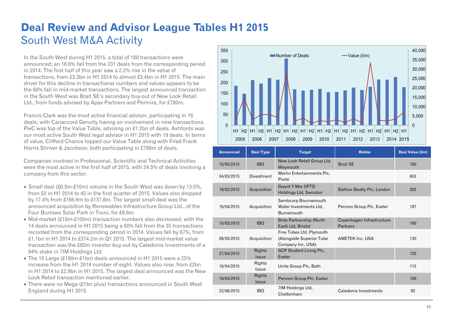# **Deal Review and Advisor League Tables H1 2015**  South West M&A Activity

In the South West during H1 2015, a total of 188 transactions were announced; an 18.6% fall from the 231 deals from the corresponding period in 2014. The first half of this year saw a 2.2% rise in the value of transactions, from £3.3bn in H1 2014 to almost £3.4bn in H1 2015. The main driver for this decline in transactional numbers and values appears to be the 60% fall in mid-market transactions. The largest announced transaction in the South West was Brait SE's secondary buy-out of New Look Retail Ltd., from funds advised by Apax Partners and Permira, for £780m.

Francis Clark was the most active financial advisor, participating in 16 deals, with Canaccord Genuity having an involvement in nine transactions. PwC was top of the Value Table, advising on £1.2bn of deals. Ashfords was our most active South West legal advisor in H1 2015 with 19 deals. In terms of value, Clifford Chance topped our Value Table along with Fried Frank Harris Shriver & Jacobson, both participating in £780m of deals.

Companies involved in Professional, Scientific and Technical Activities were the most active in the first half of 2015, with 24.5% of deals involving a company from this sector.

- Small deal (£0.5m-£10m) volume in the South West was down by 13.5%, from 52 in H1 2014 to 45 in the first quarter of 2015. Values also dropped by 17.4% from £166.9m to £137.8m. The largest small deal was the announced acquisition by Renewables Infrastructure Group Ltd., of the Four Burrows Solar Park in Truro, for £8.6m.
- Mid-market (£10m-£100m) transaction numbers also decreased, with the 14 deals announced in H1 2015 being a 60% fall from the 35 transactions recorded from the corresponding period in 2014. Values fell by 67%, from £1.1bn in H1 2014 to £374.2m in Q1 2015. The largest mid-market value transaction was the £82m investor buy-out by Caledonia Investments of a 94% stake in 7IM Holdings Ltd.
- The 10 Large (£100m-£1bn) deals announced in H1 2015 were a 25% increase from the H1 2014 number of eight. Values also rose, from £2bn in H1 2014 to £2.9bn in H1 2015. The largest deal announced was the New Look Retail transaction mentioned earlier.
- There were no Mega (£1bn plus) transactions announced in South West England during H1 2015.



| <b>Announced</b> | <b>Deal Type</b>       | <b>Target</b>                                                             | <b>Bidder</b>                         | Deal Value (£m) |
|------------------|------------------------|---------------------------------------------------------------------------|---------------------------------------|-----------------|
| 15/05/2015       | <b>IBO</b>             | New Look Retail Group Ltd,<br>Weymouth                                    | <b>Brait SE</b>                       | 780             |
| 04/03/2015       | <b>Divestment</b>      | Merlin Entertainments Plc,<br>Poole                                       |                                       | 653             |
| 18/02/2015       | Acquisition            | <b>Gwynt Y Mor OFTO</b><br>Holdings Ltd, Swindon                          | <b>Balfour Beatty Plc, London</b>     | 352             |
| 16/04/2015       | Acquisition            | Sembcorp Bournemouth<br>Water Investments Ltd.<br>Burnemouth              | Pennon Group Plc, Exeter              | 187             |
| 10/03/2015       | <b>IBO</b>             | <b>Brite Partnership (North</b><br>East) Ltd, Bristol                     | Copenhagen Infrastructure<br>Partners | 160             |
| 08/05/2015       | Acquisition            | Fine Tubes Ltd, Plymouth<br>(Alongside Superior Tube<br>Company Inc, USA) | <b>AMETEK Inc, USA</b>                | 130             |
| 27/04/2015       | Rights<br><b>Issue</b> | <b>GCP Student Living Plc,</b><br>Exeter                                  |                                       | 120             |
| 16/04/2015       | Rights<br>Issue        | Unite Group Plc, Bath                                                     |                                       | 115             |
| 16/04/2015       | Rights<br>Issue        | Pennon Group Plc, Exeter                                                  |                                       | 100             |
| 22/06/2015       | <b>IBO</b>             | 7IM Holdings Ltd,<br>Cheltenham                                           | Caledonia Investments                 | 82              |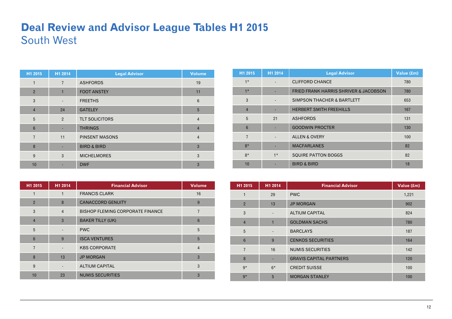### **Deal Review and Advisor League Tables H1 2015**  South West

| H1 2015         | H1 2014                  | <b>Legal Advisor</b>   | <b>Volume</b>   |
|-----------------|--------------------------|------------------------|-----------------|
| 1               | $\overline{7}$           | <b>ASHFORDS</b>        | 19              |
| $\overline{2}$  | $\mathbf{1}$             | <b>FOOT ANSTEY</b>     | 11              |
| 3               | $\overline{\phantom{a}}$ | <b>FREETHS</b>         | $6\phantom{1}6$ |
| $\overline{4}$  | 24                       | <b>GATELEY</b>         | 5               |
| 5               | $\overline{2}$           | <b>TLT SOLICITORS</b>  | $\overline{4}$  |
| $6\phantom{1}6$ |                          | <b>THRINGS</b>         | $\overline{4}$  |
| $\overline{7}$  | 11                       | <b>PINSENT MASONS</b>  | $\overline{4}$  |
| 8               |                          | <b>BIRD &amp; BIRD</b> | $\overline{3}$  |
| 9               | 3                        | <b>MICHELMORES</b>     | 3               |
| 10              |                          | <b>DWF</b>             | 3               |

| H1 2015        | H1 2014        | <b>Financial Advisor</b>                | <b>Volume</b>  |
|----------------|----------------|-----------------------------------------|----------------|
| 1              | 1              | <b>FRANCIS CLARK</b>                    | 16             |
| $\overline{2}$ | 8              | <b>CANACCORD GENUITY</b>                | 9              |
| 3              | $\overline{4}$ | <b>BISHOP FLEMING CORPORATE FINANCE</b> | 7              |
| $\overline{4}$ | 3              | <b>BAKER TILLY (UK)</b>                 | 6              |
| 5              |                | <b>PWC</b>                              | 5              |
| 6              | 9              | <b>ISCA VENTURES</b>                    | 5              |
| $\overline{7}$ |                | <b>KBS CORPORATE</b>                    | $\overline{4}$ |
| 8              | 13             | <b>JP MORGAN</b>                        | 3              |
| 9              |                | <b>ALTIUM CAPITAL</b>                   | 3              |
| 10             | 23             | <b>NUMIS SECURITIES</b>                 | 3              |

| H1 2015         | H1 2014 | <b>Legal Advisor</b>                             | Value (£m) |
|-----------------|---------|--------------------------------------------------|------------|
| $1*$            |         | <b>CLIFFORD CHANCE</b>                           | 780        |
| $1*$            |         | <b>FRIED FRANK HARRIS SHRIVER &amp; JACOBSON</b> | 780        |
| 3               |         | SIMPSON THACHER & BARTLETT                       | 653        |
| $\overline{4}$  |         | <b>HERBERT SMITH FREEHILLS</b>                   | 167        |
| 5               | 21      | <b>ASHFORDS</b>                                  | 131        |
| $6\phantom{1}6$ |         | <b>GOODWIN PROCTER</b>                           | 130        |
| $\overline{7}$  |         | <b>ALLEN &amp; OVERY</b>                         | 100        |
| $8*$            |         | <b>MACFARLANES</b>                               | 82         |
| $8*$            | $1*$    | <b>SQUIRE PATTON BOGGS</b>                       | 82         |
| 10              |         | <b>BIRD &amp; BIRD</b>                           | 18         |

| H1 2015        | H1 2014                  | <b>Financial Advisor</b>       | Value (£m) |
|----------------|--------------------------|--------------------------------|------------|
| 1              | 29                       | <b>PWC</b>                     | 1,221      |
| $\overline{2}$ | 13                       | <b>JP MORGAN</b>               | 902        |
| 3              | $\overline{\phantom{a}}$ | <b>ALTIUM CAPITAL</b>          | 824        |
| $\overline{4}$ | 1                        | <b>GOLDMAN SACHS</b>           | 780        |
| 5              |                          | <b>BARCLAYS</b>                | 187        |
| $6\phantom{1}$ | 9                        | <b>CENKOS SECURITIES</b>       | 164        |
| $\overline{7}$ | 16                       | <b>NUMIS SECURITIES</b>        | 142        |
| 8              | ٠                        | <b>GRAVIS CAPITAL PARTNERS</b> | 120        |
| $9*$           | $6*$                     | <b>CREDIT SUISSE</b>           | 100        |
| $9*$           | 5                        | <b>MORGAN STANLEY</b>          | 100        |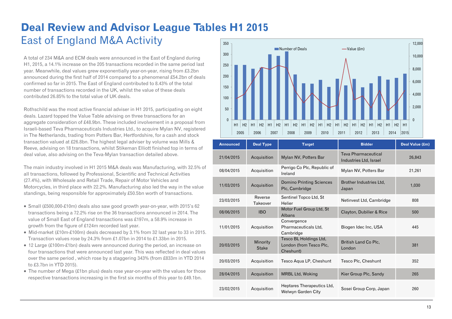#### **Deal Review and Advisor League Tables H1 2015**  East of England M&A Activity 350

A total of 234 M&A and ECM deals were announced in the East of England during H1, 2015, a 14.1% increase on the 205 transactions recorded in the same period last year. Meanwhile, deal values grew exponentially year-on-year, rising from £3.2bn announced during the first half of 2014 compared to a phenomenal £54.2bn of deals confirmed so far in 2015. The East of England contributed to 8.43% of the total number of transactions recorded in the UK, whilst the value of these deals contributed 26.85% to the total value of UK deals.

Rothschild was the most active financial adviser in H1 2015, participating on eight deals. Lazard topped the Value Table advising on three transactions for an aggregate consideration of £48.9bn. These included involvement in a proposal from Israeli-based Teva Pharmaceuticals Industries Ltd., to acquire Mylan NV, registered in The Netherlands, trading from Potters Bar, Hertfordshire, for a cash and stock transaction valued at £26.8bn. The highest legal adviser by volume was Mills & Reeve, advising on 18 transactions, whilst Stikeman Elliott finished top in terms of deal value, also advising on the Teva-Mylan transaction detailed above.

The main industry involved in H1 2015 M&A deals was Manufacturing, with 32.5% of all transactions, followed by Professional, Scientific and Technical Activities (27.4%), with Wholesale and Retail Trade, Repair of Motor Vehicles and Motorcycles, in third place with 22.2%. Manufacturing also led the way in the value standings, being responsible for approximately £50.5bn worth of transactions.

- Small (£500,000-£10m) deals also saw good growth year-on-year, with 2015's 62 transactions being a 72.2% rise on the 36 transactions announced in 2014. The value of Small East of England transactions was £197m, a 58.9% increase in growth from the figure of £124m recorded last year.
- Mid-market (£10m-£100m) deals decreased by 3.1% from 32 last year to 33 in 2015. Transaction values rose by 24.3% from £1.07bn in 2014 to £1.33bn in 2015.
- 12 Large (£100m-£1bn) deals were announced during the period, an increase on four transactions that were announced last year. This was reflected in deal values over the same period , which rose by a staggering 343% (from £833m in YTD 2014 to £3.7bn in YTD 2015).
- The number of Mega (£1bn plus) deals rose year-on-year with the values for those respective transactions increasing in the first six months of this year to £49.1bn.



| <b>Announced</b> | <b>Deal Type</b>         | <b>Target</b>                                                  | <b>Bidder</b>                                        | Deal Value (£m) |
|------------------|--------------------------|----------------------------------------------------------------|------------------------------------------------------|-----------------|
| 21/04/2015       | Acquisition              | Mylan NV, Potters Bar                                          | <b>Teva Pharmaceutical</b><br>Industries Ltd, Israel | 26,843          |
| 08/04/2015       | Acquisition              | Perrigo Co Plc, Republic of<br>Ireland                         | Mylan NV, Potters Bar                                | 21,261          |
| 11/03/2015       | Acquisition              | <b>Domino Printing Sciences</b><br>Plc, Cambridge              | Brother Industries Ltd.<br>Japan                     | 1,030           |
| 23/03/2015       | Reverse<br>Takeover      | Sentinel Topco Ltd, St<br>Helier                               | Netinvest Ltd, Cambridge                             | 808             |
| 08/06/2015       | <b>IBO</b>               | Motor Fuel Group Ltd, St<br>Albans                             | Clayton, Dubilier & Rice                             | 500             |
| 11/01/2015       | Acquisition              | Convergence<br>Pharmaceuticals Ltd,<br>Cambridge               | Biogen Idec Inc, USA                                 | 445             |
| 20/03/2015       | Minority<br><b>Stake</b> | Tesco BL Holdings Ltd,<br>London (from Tesco Plc,<br>Cheshunt) | British Land Co Plc,<br>London                       | 381             |
| 20/03/2015       | Acquisition              | Tesco Agua LP, Cheshunt                                        | Tesco Plc, Cheshunt                                  | 352             |
| 28/04/2015       | Acquisition              | <b>MRBL Ltd, Woking</b>                                        | Kier Group Plc, Sandy                                | 265             |
| 23/02/2015       | Acquisition              | Heptares Therapeutics Ltd.<br>Welwyn Garden City               | Sosei Group Corp, Japan                              | 260             |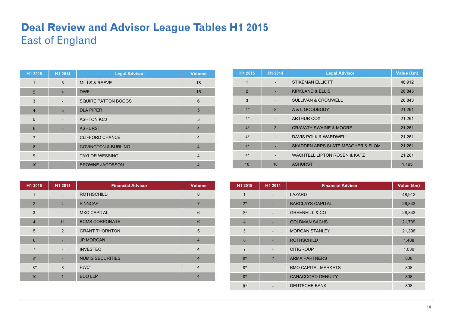### **Deal Review and Advisor League Tables H1 2015**  East of England

| H1 2015        | H1 2014                  | <b>Legal Advisor</b>           | <b>Volume</b>  |
|----------------|--------------------------|--------------------------------|----------------|
| $\mathbf{1}$   | 6                        | <b>MILLS &amp; REEVE</b>       | 18             |
| $\overline{2}$ | $\overline{4}$           | <b>DWF</b>                     | 15             |
| 3              | $\overline{\phantom{a}}$ | <b>SQUIRE PATTON BOGGS</b>     | 6              |
| $\overline{4}$ | 5                        | <b>DLA PIPER</b>               | 5              |
| 5              |                          | <b>ASHTON KCJ</b>              | 5              |
| 6              |                          | <b>ASHURST</b>                 | $\overline{4}$ |
| $\overline{7}$ |                          | <b>CLIFFORD CHANCE</b>         | $\overline{4}$ |
| 8              |                          | <b>COVINGTON &amp; BURLING</b> | $\overline{4}$ |
| 9              |                          | <b>TAYLOR WESSING</b>          | $\overline{4}$ |
| 10             |                          | <b>BROWNE JACOBSON</b>         | 4              |

| H1 2015         | H1 2014                  | <b>Financial Advisor</b> | <b>Volume</b>  |
|-----------------|--------------------------|--------------------------|----------------|
| 1               | $\overline{\phantom{a}}$ | <b>ROTHSCHILD</b>        | 8              |
| $\overline{2}$  | $\overline{4}$           | <b>FINNCAP</b>           | $\overline{7}$ |
| 3               | $\overline{\phantom{a}}$ | <b>MXC CAPITAL</b>       | 6              |
| $\overline{4}$  | 11                       | <b>BCMS CORPORATE</b>    | 6              |
| 5               | 2                        | <b>GRANT THORNTON</b>    | 5              |
| $6\phantom{1}6$ |                          | <b>JP MORGAN</b>         | $\overline{4}$ |
| $\overline{7}$  |                          | <b>INVESTEC</b>          | $\overline{4}$ |
| $8*$            |                          | <b>NUMIS SECURITIES</b>  | $\overline{4}$ |
| $8*$            | 8                        | <b>PWC</b>               | $\overline{4}$ |
| 10              |                          | <b>BDO LLP</b>           | $\overline{4}$ |

| H1 2015        | H1 2014                  | <b>Legal Advisor</b>                         | Value (£m) |
|----------------|--------------------------|----------------------------------------------|------------|
| $\mathbf{1}$   |                          | <b>STIKEMAN ELLIOTT</b>                      | 48,912     |
| $\overline{2}$ |                          | <b>KIRKLAND &amp; ELLIS</b>                  | 26,843     |
| 3              | $\overline{\phantom{0}}$ | <b>SULLIVAN &amp; CROMWELL</b>               | 26,843     |
| $4*$           | 8                        | A & L GOODBODY                               | 21,261     |
| $4*$           |                          | <b>ARTHUR COX</b>                            | 21,261     |
| $4*$           | 3                        | <b>CRAVATH SWAINE &amp; MOORE</b>            | 21,261     |
| $4*$           |                          | <b>DAVIS POLK &amp; WARDWELL</b>             | 21,261     |
| $4*$           |                          | <b>SKADDEN ARPS SLATE MEAGHER &amp; FLOM</b> | 21,261     |
| $4*$           | $\overline{\phantom{0}}$ | <b>WACHTELL LIPTON ROSEN &amp; KATZ</b>      | 21,261     |
| 10             | 10                       | <b>ASHURST</b>                               | 1,195      |

| H1 2015        | H1 2014                  | <b>Financial Advisor</b>   | Value (£m) |
|----------------|--------------------------|----------------------------|------------|
| 1              | $\overline{\phantom{a}}$ | LAZARD                     | 48,912     |
| $2*$           |                          | <b>BARCLAYS CAPITAL</b>    | 26,843     |
| $2*$           |                          | <b>GREENHILL &amp; CO</b>  | 26,843     |
| $\overline{4}$ |                          | <b>GOLDMAN SACHS</b>       | 21,739     |
| 5              |                          | <b>MORGAN STANLEY</b>      | 21,396     |
| $6\phantom{1}$ |                          | <b>ROTHSCHILD</b>          | 1,488      |
| $\overline{7}$ | $\overline{\phantom{a}}$ | <b>CITIGROUP</b>           | 1,030      |
| $8*$           | $\overline{7}$           | <b>ARMA PARTNERS</b>       | 808        |
| $8*$           | $\overline{\phantom{a}}$ | <b>BMO CAPITAL MARKETS</b> | 808        |
| $8*$           |                          | <b>CANACCORD GENUITY</b>   | 808        |
| $8*$           |                          | <b>DEUTSCHE BANK</b>       | 808        |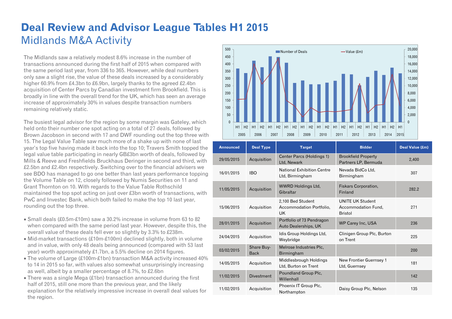### **Deal Review and Advisor League Tables H1 2015**  Midlands M&A Activity

The Midlands saw a relatively modest 8.6% increase in the number of transactions announced during the first half of 2015 when compared with the same period last year, from 336 to 365. However, while deal numbers only saw a slight rise, the value of these deals increased by a considerably higher 60.9% from £4.3bn to £6.9bn, largely thanks to the agreed £2.4bn acquisition of Center Parcs by Canadian investment firm Brookfield. This is broadly in line with the overall trend for the UK, which has seen an average increase of approximately 30% in values despite transaction numbers remaining relatively static.

The busiest legal advisor for the region by some margin was Gateley, which held onto their number one spot acting on a total of 27 deals, followed by Brown Jacobson in second with 17 and DWF rounding out the top three with 15. The Legal Value Table saw much more of a shake up with none of last year's top five having made it back into the top 10; Travers Smith topped the legal value table participating in nearly GB£3bn worth of deals, followed by Mills & Reeve and Freshfields Bruckhaus Deringer in second and third, with £2.5bn and £2.4bn respectively. Switching over to the financial advisers we see BDO has managed to go one better than last years performance topping the Volume Table on 12, closely followed by Numis Securities on 11 and Grant Thornton on 10. With regards to the Value Table Rothschild maintained the top spot acting on just over £3bn worth of transactions, with PwC and Investec Bank, which both failed to make the top 10 last year, rounding out the top three.

- Small deals (£0.5m-£10m) saw a 30.2% increase in volume from 63 to 82 when compared with the same period last year. However, despite this, the overall value of these deals fell ever so slightly by 3.3% to £238m.
- Mid-market transactions (£10m-£100m) declined slightly, both in volume and in value, with only 48 deals being announced (compared with 53 last year) worth approximately £1.7bn, a 5.5% decline on 2014 figures.
- The volume of Large (£100m-£1bn) transaction M&A activity increased 40% to 14 in 2015 so far, with values also somewhat unsurprisingly increasing as well, albeit by a smaller percentage of 8.7%, to £2.6bn
- There was a single Mega (£1bn) transaction announced during the first half of 2015, still one more than the previous year, and the likely explanation for the relatively impressive increase in overall deal values for the region.



| <b>Announced</b> | <b>Deal Type</b>          | <b>Target</b>                                              | <b>Bidder</b>                                                    | Deal Value (£m) |
|------------------|---------------------------|------------------------------------------------------------|------------------------------------------------------------------|-----------------|
| 29/05/2015       | Acquisition               | Center Parcs (Holdings 1)<br>Ltd, Newark                   | <b>Brookfield Property</b><br>Partners LP, Bermuda               | 2,400           |
| 16/01/2015       | <b>IBO</b>                | <b>National Exhibition Centre</b><br>Ltd, Birmingham       | Nevada BidCo Ltd,<br>Birmingham                                  | 307             |
| 11/05/2015       | Acquisition               | <b>WWRD Holdings Ltd.</b><br>Gibraltar                     | Fiskars Corporation,<br>Finland                                  | 282.2           |
| 15/06/2015       | Acquisition               | 2,100 Bed Student<br>Accommodation Portfolio,<br><b>UK</b> | <b>UNITE UK Student</b><br>Accommodation Fund,<br><b>Bristol</b> | 271             |
| 28/01/2015       | Acquisition               | Portfolio of 73 Pendragon<br>Auto Dealerships, UK          | <b>WP Carey Inc, USA</b>                                         | 236             |
| 24/04/2015       | Acquisition               | Idis Group Holdings Ltd,<br>Weybridge                      | Clinigen Group Plc, Burton<br>on Trent                           | 225             |
| 03/02/2015       | Share Buy-<br><b>Back</b> | Melrose Industries Plc,<br>Birmingham                      |                                                                  | 200             |
| 14/05/2015       | Acquisition               | Middlesbrough Holdings<br>Ltd, Burton on Trent             | New Frontier Guernsey 1<br>Ltd, Guernsey                         | 181             |
| 11/02/2015       | <b>Divestment</b>         | Poundland Group Plc,<br>Willenhall                         |                                                                  | 142             |
| 11/02/2015       | Acquisition               | Phoenix IT Group Plc.<br>Northampton                       | Daisy Group Plc, Nelson                                          | 135             |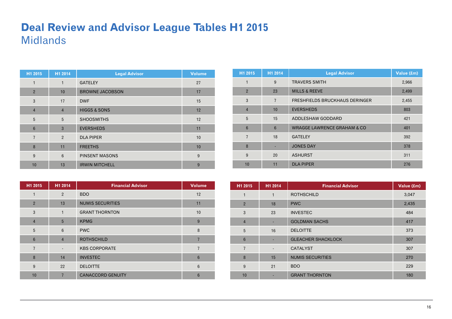#### **Deal Review and Advisor League Tables H1 2015**  Midlands

| H1 2015        | H1 2014        | <b>Legal Advisor</b>    | <b>Volume</b> |
|----------------|----------------|-------------------------|---------------|
| 1              | $\mathbf{1}$   | <b>GATELEY</b>          | 27            |
| $\overline{2}$ | 10             | <b>BROWNE JACOBSON</b>  | 17            |
| 3              | 17             | <b>DWF</b>              | 15            |
| $\overline{4}$ | $\overline{4}$ | <b>HIGGS &amp; SONS</b> | 12            |
| 5              | 5              | <b>SHOOSMITHS</b>       | 12            |
| 6              | 3              | <b>EVERSHEDS</b>        | 11            |
| $\overline{7}$ | $\overline{2}$ | <b>DLA PIPER</b>        | 10            |
| 8              | 11             | <b>FREETHS</b>          | 10            |
| 9              | 6              | <b>PINSENT MASONS</b>   | 9             |
| 10             | 13             | <b>IRWIN MITCHELL</b>   | 9             |

| H1 2015        | H1 2014                  | <b>Financial Advisor</b> | <b>Volume</b>  |
|----------------|--------------------------|--------------------------|----------------|
| 1              | $\overline{2}$           | <b>BDO</b>               | 12             |
| $\overline{2}$ | 13                       | <b>NUMIS SECURITIES</b>  | 11             |
| 3              | $\mathbf{1}$             | <b>GRANT THORNTON</b>    | 10             |
| $\overline{4}$ | 5                        | <b>KPMG</b>              | 9              |
| 5              | 6                        | <b>PWC</b>               | 8              |
| 6              | $\overline{4}$           | <b>ROTHSCHILD</b>        |                |
| $\overline{7}$ | $\overline{\phantom{a}}$ | <b>KBS CORPORATE</b>     | $\overline{7}$ |
| 8              | 14                       | <b>INVESTEC</b>          | 6              |
| 9              | 22                       | <b>DELOITTE</b>          | 6              |
| 10             |                          | <b>CANACCORD GENUITY</b> | 6              |

| H1 2015        | H1 2014        | <b>Legal Advisor</b>                   | Value (£m) |
|----------------|----------------|----------------------------------------|------------|
| $\mathbf{1}$   | 9              | <b>TRAVERS SMITH</b>                   | 2,966      |
| $\overline{2}$ | 23             | <b>MILLS &amp; REEVE</b>               | 2,499      |
| 3              | $\overline{7}$ | FRESHFIELDS BRUCKHAUS DERINGER         | 2,455      |
| $\overline{4}$ | 10             | <b>EVERSHEDS</b>                       | 803        |
| 5              | 15             | ADDLESHAW GODDARD                      | 421        |
| $6\phantom{1}$ | $6\phantom{1}$ | <b>WRAGGE LAWRENCE GRAHAM &amp; CO</b> | 401        |
| $\overline{7}$ | 18             | <b>GATELEY</b>                         | 392        |
| 8              |                | <b>JONES DAY</b>                       | 378        |
| 9              | 20             | <b>ASHURST</b>                         | 311        |
| 10             | 11             | <b>DLA PIPER</b>                       | 276        |

| H1 2015        | H1 2014 | <b>Financial Advisor</b>  | Value (£m) |
|----------------|---------|---------------------------|------------|
| 1              | 1       | <b>ROTHSCHILD</b>         | 3,047      |
| $\overline{2}$ | 18      | <b>PWC</b>                | 2,435      |
| 3              | 23      | <b>INVESTEC</b>           | 484        |
| $\overline{4}$ |         | <b>GOLDMAN SACHS</b>      | 417        |
| 5              | 16      | <b>DELOITTE</b>           | 373        |
| $6\phantom{1}$ |         | <b>GLEACHER SHACKLOCK</b> | 307        |
| $\overline{7}$ |         | <b>CATALYST</b>           | 307        |
| 8              | 15      | <b>NUMIS SECURITIES</b>   | 270        |
| 9              | 21      | <b>BDO</b>                | 229        |
| 10             |         | <b>GRANT THORNTON</b>     | 180        |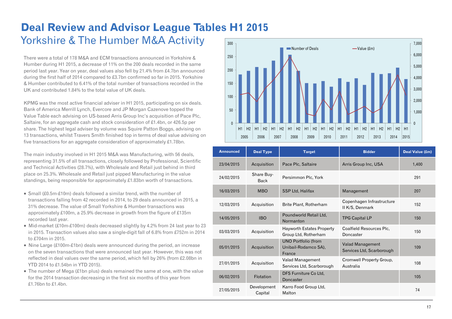#### **Deal Review and Advisor League Tables H1 2015**  Yorkshire & The Humber M&A Activity 300

There were a total of 178 M&A and ECM transactions announced in Yorkshire & Humber during H1 2015, a decrease of 11% on the 200 deals recorded in the same period last year. Year on year, deal values also fell by 21.4% from £4.7bn announced during the first half of 2014 compared to £3.7bn confirmed so far in 2015. Yorkshire & Humber contributed to 6.41% of the total number of transactions recorded in the UK and contributed 1.84% to the total value of UK deals.

KPMG was the most active financial adviser in H1 2015, participating on six deals. Bank of America Merrill Lynch, Evercore and JP Morgan Cazenove topped the Value Table each advising on US-based Arris Group Inc's acquisition of Pace Plc, Saltaire, for an aggregate cash and stock consideration of £1.4bn, or 426.5p per share. The highest legal adviser by volume was Squire Patton Boggs, advising on 13 transactions, whilst Travers Smith finished top in terms of deal value advising on five transactions for an aggregate consideration of approximately £1.78bn.

The main industry involved in H1 2015 M&A was Manufacturing, with 56 deals, representing 31.5% of all transactions, closely followed by Professional, Scientific and Technical Activities (28.7%), with Wholesale and Retail just behind in third place on 25.3%. Wholesale and Retail just pipped Manufacturing in the value standings, being responsible for approximately £1.83bn worth of transactions.

- Small (£0.5m-£10m) deals followed a similar trend, with the number of transactions falling from 42 recorded in 2014, to 29 deals announced in 2015, a 31% decrease. The value of Small Yorkshire & Humber transactions was approximately £100m, a 25.9% decrease in growth from the figure of £135m recorded last year.
- Mid-market (£10m-£100m) deals decreased slightly by 4.2% from 24 last year to 23 in 2015. Transaction values also saw a single-digit fall of 6.8% from £752m in 2014 to £704m in 2015.
- Nine Large (£100m-£1bn) deals were announced during the period, an increase on the seven transactions that were announced last year. However, this was not reflected in deal values over the same period, which fell by 26% (from £2.08bn in YTD 2014 to £1.54bn in YTD 2015).
- The number of Mega (£1bn plus) deals remained the same at one, with the value for the 2014 transaction decreasing in the first six months of this year from £1.76bn to £1.4bn.



| <b>Announced</b> | <b>Deal Type</b>          | <b>Target</b>                                                | <b>Bidder</b>                                 | Deal Value (£m) |
|------------------|---------------------------|--------------------------------------------------------------|-----------------------------------------------|-----------------|
| 23/04/2015       | Acquisition               | Pace Plc, Saltaire                                           | Arris Group Inc, USA                          | 1,400           |
| 24/02/2015       | Share Buy-<br><b>Back</b> | Persimmon Plc, York                                          |                                               | 291             |
| 16/03/2015       | <b>MBO</b>                | SSP Ltd, Halifax                                             | Management                                    | 207             |
| 12/03/2015       | Acquisition               | Brite Plant, Rotherham                                       | Copenhagen Infrastructure<br>II K/S, Denmark  | 152             |
| 14/05/2015       | <b>IBO</b>                | Poundworld Retail Ltd,<br>Normanton                          | <b>TPG Capital LP</b>                         | 150             |
| 03/03/2015       | Acquisition               | Hayworth Estates Property<br>Group Ltd, Rotherham            | Coalfield Resources Plc,<br>Doncaster         | 150             |
| 05/01/2015       | Acquisition               | <b>UNO Portfolio (from</b><br>Unibail-Rodamco SA),<br>France | Valad Management<br>Services Ltd, Scarborough | 109             |
| 27/01/2015       | Acquisition               | Valad Management<br>Services Ltd, Scarborough                | Cromwell Property Group,<br>Australia         | 108             |
| 06/02/2015       | <b>Flotation</b>          | DFS Furniture Co Ltd,<br>Doncaster                           |                                               | 105             |
| 27/05/2015       | Development<br>Capital    | Karro Food Group Ltd,<br>Malton                              |                                               | 74              |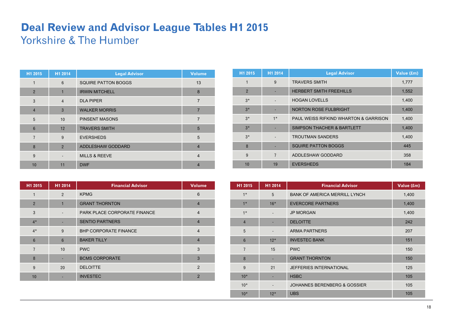# **Deal Review and Advisor League Tables H1 2015**  Yorkshire & The Humber

| H1 2015        | H1 2014                  | <b>Legal Advisor</b>       | <b>Volume</b>  |
|----------------|--------------------------|----------------------------|----------------|
| $\mathbf{1}$   | 6                        | <b>SQUIRE PATTON BOGGS</b> | 13             |
| $\overline{2}$ | 1                        | <b>IRWIN MITCHELL</b>      | 8              |
| 3              | $\overline{4}$           | <b>DLA PIPER</b>           | $\overline{7}$ |
| $\overline{4}$ | 3                        | <b>WALKER MORRIS</b>       | $\overline{7}$ |
| 5              | 10                       | <b>PINSENT MASONS</b>      | $\overline{7}$ |
| 6              | 12                       | <b>TRAVERS SMITH</b>       | 5              |
| $\overline{7}$ | 9                        | <b>EVERSHEDS</b>           | 5              |
| 8              | $\overline{2}$           | ADDLESHAW GODDARD          | $\overline{4}$ |
| 9              | $\overline{\phantom{a}}$ | <b>MILLS &amp; REEVE</b>   | $\overline{4}$ |
| 10             | 11                       | <b>DWF</b>                 |                |

| H1 2015        | H1 2014                  | <b>Financial Advisor</b>     | <b>Volume</b>  |
|----------------|--------------------------|------------------------------|----------------|
| 1              | 2                        | <b>KPMG</b>                  | 6              |
| $\overline{2}$ | $\overline{1}$           | <b>GRANT THORNTON</b>        | $\overline{4}$ |
| 3              | $\overline{\phantom{a}}$ | PARK PLACE CORPORATE FINANCE | $\overline{4}$ |
| $4*$           |                          | <b>SENTIO PARTNERS</b>       | $\overline{4}$ |
| $4*$           | 9                        | <b>BHP CORPORATE FINANCE</b> | $\overline{4}$ |
| $6\phantom{1}$ | 6                        | <b>BAKER TILLY</b>           | 4              |
| $\overline{7}$ | 10                       | <b>PWC</b>                   | 3              |
| 8              |                          | <b>BCMS CORPORATE</b>        | 3              |
| 9              | 20                       | <b>DELOITTE</b>              | 2              |
| 10             |                          | <b>INVESTEC</b>              | $\mathcal{P}$  |

| H1 2015        | H1 2014        | <b>Legal Advisor</b>                             | Value (£m) |
|----------------|----------------|--------------------------------------------------|------------|
| 1              | 9              | <b>TRAVERS SMITH</b>                             | 1,777      |
| $\overline{2}$ |                | <b>HERBERT SMITH FREEHILLS</b>                   | 1,552      |
| $3*$           |                | <b>HOGAN LOVELLS</b>                             | 1,400      |
| $3*$           |                | <b>NORTON ROSE FULBRIGHT</b>                     | 1,400      |
| $3*$           | $1*$           | <b>PAUL WEISS RIFKIND WHARTON &amp; GARRISON</b> | 1,400      |
| $3*$           |                | SIMPSON THACHER & BARTLETT                       | 1,400      |
| $3*$           |                | <b>TROUTMAN SANDERS</b>                          | 1,400      |
| 8              |                | <b>SQUIRE PATTON BOGGS</b>                       | 445        |
| 9              | $\overline{7}$ | ADDLESHAW GODDARD                                | 358        |
| 10             | 19             | <b>EVERSHEDS</b>                                 | 184        |

| H1 2015        | H1 2014 | <b>Financial Advisor</b>                | Value (£m) |
|----------------|---------|-----------------------------------------|------------|
| $1*$           | 5       | <b>BANK OF AMERICA MERRILL LYNCH</b>    | 1,400      |
| $1*$           | $16*$   | <b>EVERCORE PARTNERS</b>                | 1,400      |
| $1*$           | ٠       | <b>JP MORGAN</b>                        | 1,400      |
| $\overline{4}$ |         | <b>DELOITTE</b>                         | 242        |
| 5              |         | <b>ARMA PARTNERS</b>                    | 207        |
| $6\phantom{1}$ | $12*$   | <b>INVESTEC BANK</b>                    | 151        |
| $\overline{7}$ | 15      | <b>PWC</b>                              | 150        |
| 8              |         | <b>GRANT THORNTON</b>                   | 150        |
| 9              | 21      | <b>JEFFERIES INTERNATIONAL</b>          | 125        |
| $10*$          |         | <b>HSBC</b>                             | 105        |
| $10*$          |         | <b>JOHANNES BERENBERG &amp; GOSSIER</b> | 105        |
| $10*$          | $12*$   | <b>UBS</b>                              | 105        |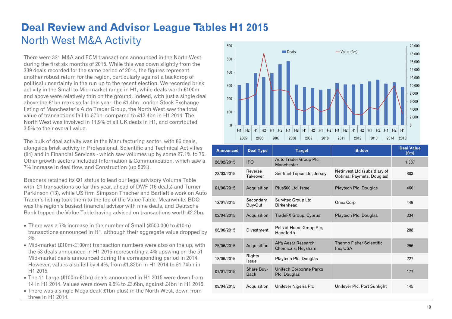# **Deal Review and Advisor League Tables H1 2015**  North West M&A Activity

There were 331 M&A and ECM transactions announced in the North West during the first six months of 2015. While this was down slightly from the 339 deals recorded for the same period of 2014, the figures represent another robust return for the region, particularly against a backdrop of political uncertainty in the run up to the recent election. We recorded brisk activity in the Small to Mid-market range in H1, while deals worth £100m and above were relatively thin on the ground. Indeed, with just a single deal above the £1bn mark so far this year, the £1.4bn London Stock Exchange listing of Manchester's Auto Trader Group, the North West saw the total value of transactions fall to £7bn, compared to £12.4bn in H1 2014. The North West was involved in 11.9% of all UK deals in H1, and contributed 3.5% to their overall value.

The bulk of deal activity was in the Manufacturing sector, with 86 deals, alongside brisk activity in Professional, Scientific and Technical Activities (84) and in Financial Services - which saw volumes up by some 27.1% to 75. Other growth sectors included Information & Communication, which saw a 7% increase in deal flow, and Construction (up 50%).

Brabners retained its Q1 status to lead our legal advisory Volume Table with 21 transactions so far this year, ahead of DWF (16 deals) and Turner Parkinson (13), while US firm Simpson Thacher and Bartlett's work on Auto Trader's listing took them to the top of the Value Table. Meanwhile, BDO was the region's busiest financial advisor with nine deals, and Deutsche Bank topped the Value Table having advised on transactions worth £2.2bn.

- There was a 7% increase in the number of Small (£500,000 to £10m) transactions announced in H1, although their aggregate value dropped by 2%.
- Mid-market (£10m-£100m) transaction numbers were also on the up, with the 53 deals announced in H1 2015 representing a 4% upswing on the 51 Mid-market deals announced during the corresponding period in 2014. However, values also fell by 4.4%, from £1.82bn in H1 2014 to £1.74bn in H1 2015.
- The 11 Large (£100m-£1bn) deals announced in H1 2015 were down from 14 in H1 2014. Values were down 9.5% to £3.6bn, against £4bn in H1 2015.
- $\bullet$  There was a single Mega deal(£1bn plus) in the North West, down from three in H1 2014.



| <b>Announced</b> | <b>Deal Type</b>          | <b>Target</b>                                  | <b>Bidder</b>                                             | <b>Deal Value</b><br>(f.m) |
|------------------|---------------------------|------------------------------------------------|-----------------------------------------------------------|----------------------------|
| 26/02/2015       | <b>IPO</b>                | Auto Trader Group Plc,<br>Manchester           |                                                           | 1,387                      |
| 23/03/2015       | Reverse<br>Takeover       | Sentinel Topco Ltd, Jersey                     | Netinvest Ltd (subsidiary of<br>Optimal Paymets, Douglas) | 803                        |
| 01/06/2015       | Acquisition               | Plus500 Ltd, Israel                            | Playtech Plc, Douglas                                     | 460                        |
| 12/01/2015       | Secondary<br>Buy-Out      | Survitec Group Ltd,<br><b>Birkenhead</b>       | Onex Corp                                                 | 449                        |
| 02/04/2015       | Acquisition               | TradeFX Group, Cyprus                          | Playtech Plc, Douglas                                     | 334                        |
| 08/06/2015       | <b>Divestment</b>         | Pets at Home Group Plc,<br>Handforth           |                                                           | 288                        |
| 25/06/2015       | Acquisition               | Alfa Aesar Research<br>Chemicals, Heysham      | <b>Thermo Fisher Scientific</b><br>Inc, USA               | 256                        |
| 18/06/2015       | Rights<br>Issue           | Playtech Plc, Douglas                          |                                                           | 227                        |
| 07/01/2015       | Share Buy-<br><b>Back</b> | <b>Unitech Corporate Parks</b><br>Plc, Douglas |                                                           | 177                        |
| 09/04/2015       | Acquisition               | Unilever Nigeria Plc                           | Unilever Plc, Port Sunlight                               | 145                        |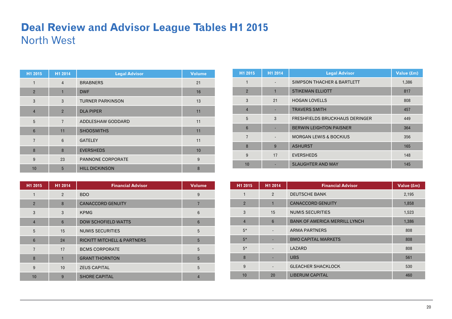#### **Deal Review and Advisor League Tables H1 2015**  North West

| H1 2015        | H1 2014        | <b>Legal Advisor</b>    | <b>Volume</b> |
|----------------|----------------|-------------------------|---------------|
| 1              | $\overline{4}$ | <b>BRABNERS</b>         | 21            |
| $\overline{2}$ | 1              | <b>DWF</b>              | 16            |
| 3              | 3              | <b>TURNER PARKINSON</b> | 13            |
| $\overline{4}$ | $\overline{2}$ | <b>DLA PIPER</b>        | 11            |
| 5              | $\overline{7}$ | ADDLESHAW GODDARD       | 11            |
| 6              | 11             | <b>SHOOSMITHS</b>       | 11            |
| $\overline{7}$ | 6              | <b>GATELEY</b>          | 11            |
| 8              | 8              | <b>EVERSHEDS</b>        | 10            |
| 9              | 23             | PANNONE CORPORATE       | 9             |
| 10             | 5              | <b>HILL DICKINSON</b>   | 8             |

| H1 2015         | H1 2014        | <b>Financial Advisor</b>               | <b>Volume</b> |
|-----------------|----------------|----------------------------------------|---------------|
|                 | $\overline{2}$ | <b>BDO</b>                             | 9             |
| $\overline{2}$  | 8              | <b>CANACCORD GENUITY</b>               | 7             |
| 3               | 3              | <b>KPMG</b>                            | 6             |
| $\overline{4}$  | 6              | <b>DOW SCHOFIELD WATTS</b>             | 6             |
| 5               | 15             | <b>NUMIS SECURITIES</b>                | 5             |
| $6\phantom{1}6$ | 24             | <b>RICKITT MITCHELL &amp; PARTNERS</b> | 5             |
| $\overline{7}$  | 17             | <b>BCMS CORPORATE</b>                  | 5             |
| 8               | $\mathbf{1}$   | <b>GRANT THORNTON</b>                  | 5             |
| 9               | 10             | <b>ZEUS CAPITAL</b>                    | 5             |
| 10              | 9              | <b>SHORE CAPITAL</b>                   |               |

| H1 2015         | H1 2014 | <b>Legal Advisor</b>                  | Value (£m) |
|-----------------|---------|---------------------------------------|------------|
| 1               |         | <b>SIMPSON THACHER &amp; BARTLETT</b> | 1,386      |
| $\overline{2}$  |         | <b>STIKEMAN ELLIOTT</b>               | 817        |
| 3               | 21      | <b>HOGAN LOVELLS</b>                  | 808        |
| $\overline{4}$  |         | <b>TRAVERS SMITH</b>                  | 457        |
| 5               | 3       | <b>FRESHFIELDS BRUCKHAUS DERINGER</b> | 449        |
| $6\phantom{1}6$ |         | <b>BERWIN LEIGHTON PAISNER</b>        | 364        |
| 7               |         | <b>MORGAN LEWIS &amp; BOCKIUS</b>     | 356        |
| 8               | 9       | <b>ASHURST</b>                        | 165        |
| 9               | 17      | <b>EVERSHEDS</b>                      | 148        |
| 10              |         | <b>SLAUGHTER AND MAY</b>              | 145        |

| H1 2015        | H1 2014                  | <b>Financial Advisor</b>             | Value (£m) |
|----------------|--------------------------|--------------------------------------|------------|
| 1              | $\overline{2}$           | <b>DEUTSCHE BANK</b>                 | 2,195      |
| $\overline{2}$ |                          | <b>CANACCORD GENUITY</b>             | 1,858      |
| 3              | 15                       | <b>NUMIS SECURITIES</b>              | 1,523      |
| $\overline{4}$ | 6                        | <b>BANK OF AMERICA MERRILL LYNCH</b> | 1,386      |
| $5*$           |                          | <b>ARMA PARTNERS</b>                 | 808        |
| $5*$           |                          | <b>BMO CAPITAL MARKETS</b>           | 808        |
| $5*$           |                          | LAZARD                               | 808        |
| 8              |                          | <b>UBS</b>                           | 561        |
| 9              | $\overline{\phantom{a}}$ | <b>GLEACHER SHACKLOCK</b>            | 530        |
| 10             | 20                       | <b>LIBERUM CAPITAL</b>               | 460        |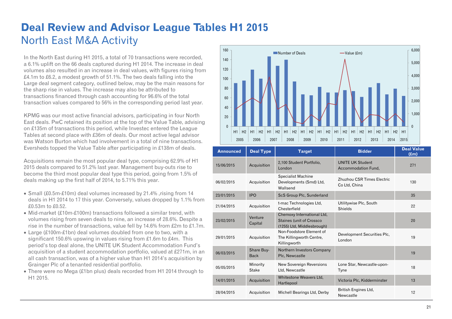# **Deal Review and Advisor League Tables H1 2015**  North East M&A Activity

In the North East during H1 2015, a total of 70 transactions were recorded, a 6.1% uplift on the 66 deals captured during H1 2014. The increase in deal volumes also resulted in an increase in deal values, with figures rising from £4.1m to £6.2, a modest growth of 51.1%. The two deals falling into the Large deal segment category, outlined below, may be the main reasons for the sharp rise in values. The increase may also be attributed to transactions financed through cash accounting for 96.6% of the total transaction values compared to 56% in the corresponding period last year.

KPMG was our most active financial advisors, participating in four North East deals. PwC retained its position at the top of the Value Table, advising on £135m of transactions this period, while Investec entered the League Tables at second place with £36m of deals. Our most active legal advisor was Watson Burton which had involvement in a total of nine transactions. Eversheds topped the Value Table after participating in £138m of deals.

Acquisitions remain the most popular deal type, comprising 62.9% of H1 2015 deals compared to 51.2% last year. Management buy-outs rise to become the third most popular deal type this period, going from 1.5% of deals making up the first half of 2014, to 5.71% this year.

- Small (£0.5m-£10m) deal volumes increased by 21.4% , rising from 14 deals in H1 2014 to 17 this year. Conversely, values dropped by 1.1% from £0.53m to £0.52.
- Mid-market (£10m-£100m) transactions followed a similar trend, with volumes rising from seven deals to nine, an increase of 28.6%. Despite a rise in the number of transactions, value fell by 14.6% from £2m to £1.7m.
- Large (£100m-£1bn) deal volumes doubled from one to two, with a significant 150.6% upswing in values rising from £1.6m to £4m. This period's top deal alone, the UNITE UK Student Accommodation Fund's acquisition of a student accommodation portfolio, valued at £271m, in an all cash transaction, was of a higher value than H1 2014's acquisition by Grainger Plc of a tenanted residential portfolio.
- There were no Mega (£1bn plus) deals recorded from H1 2014 through to H1 2015.



| <b>Announced</b> | <b>Deal Type</b>          | <b>Target</b>                                                                                | <b>Bidder</b>                                  | <b>Deal Value</b><br>$(\text{Em})$ |
|------------------|---------------------------|----------------------------------------------------------------------------------------------|------------------------------------------------|------------------------------------|
| 15/06/2015       | Acquisition               | 2,100 Student Portfolio,<br>London                                                           | <b>UNITE UK Student</b><br>Accommodation Fund, | 271                                |
| 06/02/2015       | Acquisition               | <b>Specialist Machine</b><br>Developments (Smd) Ltd,<br>Wallsend                             | Zhuzhou CSR Times Electric<br>Co Ltd, China    | 130                                |
| 23/01/2015       | <b>IPO</b>                | ScS Group Plc, Sunderland                                                                    |                                                | 35                                 |
| 21/04/2015       | Acquisition               | t-mac Technologies Ltd,<br>Chesterfield                                                      | Utilitywise Plc, South<br><b>Shields</b>       | 22                                 |
| 23/02/2015       | Venture<br>Capital        | Chemoxy International Ltd,<br><b>Staines (unit of Crossco)</b><br>(1255) Ltd, Middlesbrough) |                                                | 20                                 |
| 29/01/2015       | Acquisition               | Non-Foodstore Element of<br>The Killingworth Centre,<br>Killingworth                         | Development Securities Plc,<br>London          | 19                                 |
| 06/03/2015       | Share Buy-<br><b>Back</b> | Northern Investors Company<br>Plc, Newcastle                                                 |                                                | 19                                 |
| 05/05/2015       | Minority<br><b>Stake</b>  | <b>New Sovereign Reversions</b><br>Ltd, Newcastle                                            | Lone Star, Newcastle-upon-<br>Tyne             | 18                                 |
| 14/01/2015       | Acquisition               | Whitestone Weavers Ltd.<br>Hartlepool                                                        | Victoria Plc, Kidderminster                    | 13                                 |
| 28/04/2015       | Acquisition               | Michell Bearings Ltd, Derby                                                                  | British Engines Ltd.<br>Newcastle              | 12                                 |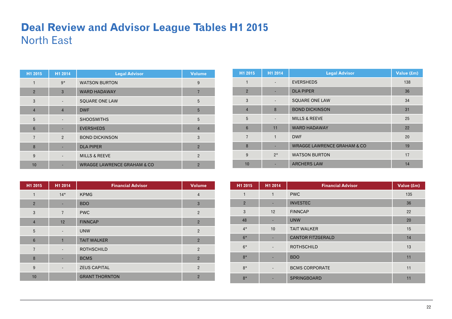### **Deal Review and Advisor League Tables H1 2015**  North East

| H1 2015        | H1 2014        | <b>Legal Advisor</b>                   | <b>Volume</b>  |
|----------------|----------------|----------------------------------------|----------------|
|                | $9*$           | <b>WATSON BURTON</b>                   | 9              |
| $\overline{2}$ | 3              | <b>WARD HADAWAY</b>                    |                |
| 3              |                | <b>SQUARE ONE LAW</b>                  | 5              |
| $\overline{4}$ | $\overline{4}$ | <b>DWF</b>                             | 5              |
| 5              |                | <b>SHOOSMITHS</b>                      | 5              |
| 6              |                | <b>EVERSHEDS</b>                       | $\overline{4}$ |
| $\overline{7}$ | 2              | <b>BOND DICKINSON</b>                  | 3              |
| 8              |                | <b>DLA PIPER</b>                       | $\overline{2}$ |
| 9              |                | <b>MILLS &amp; REEVE</b>               | $\overline{2}$ |
| 10             |                | <b>WRAGGE LAWRENCE GRAHAM &amp; CO</b> | $\overline{2}$ |

| H1 2015         | H1 2014                  | <b>Financial Advisor</b> | <b>Volume</b>  |
|-----------------|--------------------------|--------------------------|----------------|
| 1               | $14*$                    | <b>KPMG</b>              | $\overline{4}$ |
| $\overline{2}$  | ٠                        | <b>BDO</b>               | $\mathbf{3}$   |
| $\mathbf{3}$    | $\overline{7}$           | <b>PWC</b>               | $\overline{2}$ |
| $\overline{4}$  | 12                       | <b>FINNCAP</b>           | $\overline{2}$ |
| 5               | $\overline{\phantom{a}}$ | <b>UNW</b>               | $\overline{2}$ |
| $6\phantom{1}6$ | 1                        | <b>TAIT WALKER</b>       | $\overline{2}$ |
| $\overline{7}$  | $\overline{\phantom{a}}$ | <b>ROTHSCHILD</b>        | $\overline{2}$ |
| 8               |                          | <b>BCMS</b>              | $\overline{2}$ |
| 9               | $\overline{\phantom{a}}$ | <b>ZEUS CAPITAL</b>      | $\overline{2}$ |
| 10              |                          | <b>GRANT THORNTON</b>    | $\overline{2}$ |

| H1 2015         | H1 2014                  | <b>Legal Advisor</b>                   | Value (£m) |
|-----------------|--------------------------|----------------------------------------|------------|
| 1               |                          | <b>EVERSHEDS</b>                       | 138        |
| $\overline{2}$  |                          | <b>DLA PIPER</b>                       | 36         |
| 3               |                          | <b>SQUARE ONE LAW</b>                  | 34         |
| $\overline{4}$  | 8                        | <b>BOND DICKINSON</b>                  | 31         |
| 5               | $\overline{\phantom{a}}$ | <b>MILLS &amp; REEVE</b>               | 25         |
| $6\phantom{1}6$ | 11                       | <b>WARD HADAWAY</b>                    | 22         |
| $\overline{7}$  | 1                        | <b>DWF</b>                             | 20         |
| 8               |                          | <b>WRAGGE LAWRENCE GRAHAM &amp; CO</b> | 19         |
| 9               | $2*$                     | <b>WATSON BURTON</b>                   | 17         |
| 10              |                          | <b>ARCHERS LAW</b>                     | 14         |

| H1 2015        | H1 2014                  | <b>Financial Advisor</b> | Value (£m) |
|----------------|--------------------------|--------------------------|------------|
| $\mathbf{1}$   | $\mathbf{1}$             | <b>PWC</b>               | 135        |
| $\overline{2}$ | ٠                        | <b>INVESTEC</b>          | 36         |
| 3              | 12                       | <b>FINNCAP</b>           | 22         |
| 48             | ٠                        | <b>UNW</b>               | 20         |
| $4*$           | 10                       | <b>TAIT WALKER</b>       | 15         |
| $6*$           | ٠                        | <b>CANTOR FITZGERALD</b> | 14         |
| $6*$           | $\overline{\phantom{a}}$ | <b>ROTHSCHILD</b>        | 13         |
| $8*$           |                          | <b>BDO</b>               | 11         |
| $8*$           |                          | <b>BCMS CORPORATE</b>    | 11         |
| $8*$           | ٠                        | SPRINGBOARD              | 11         |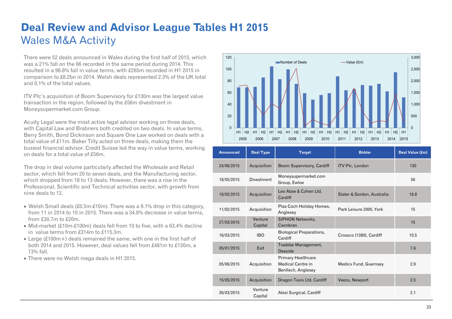# **Deal Review and Advisor League Tables H1 2015**  Wales M&A Activity

There were 52 deals announced in Wales during the first half of 2015, which was a 21% fall on the 66 recorded in the same period during 2014. This resulted in a 96.8% fall in value terms, with £265m recorded in H1 2015 in comparison to £8.2bn in 2014. Welsh deals represented 2.3% of the UK total and 0.1% of the total values.

ITV Plc's acquisition of Boom Supervisory for £130m was the largest value transaction in the region, followed by the £56m divestment in Moneysupermarket.com Group.

Acuity Legal were the most active legal advisor working on three deals, with Capital Law and Brabners both credited on two deals. In value terms, Berry Smith, Bond Dickinson and Square One Law worked on deals with a total value of £11m. Baker Tilly acted on three deals, making them the busiest financial advisor. Credit Suisse led the way in value terms, working on deals for a total value of £56m.

The drop in deal volume particularly affected the Wholesale and Retail sector, which fell from 20 to seven deals, and the Manufacturing sector, which dropped from 18 to 13 deals. However, there was a rise in the Professional, Scientific and Technical activities sector, with growth from nine deals to 12.

- Welsh Small deals  $(\text{\pounds}0.5m-\text{\pounds}10m)$ . There was a 9.1% drop in this category, from 11 in 2014 to 10 in 2015. There was a 34.8% decrease in value terms, from £30.7m to £20m.
- Mid-market (£10m-£100m) deals fell from 10 to five, with a 63.4% decline in value terms from £314m to £115.3m.
- Large (£100m+) deals remained the same, with one in the first half of both 2014 and 2015. However, deal values fell from £481m to £130m, a 73% fall.
- There were no Welsh mega deals in H1 2015.



| <b>Announced</b> | <b>Deal Type</b>   | <b>Target</b>                                                               | <b>Bidder</b>              | Deal Value (£m) |
|------------------|--------------------|-----------------------------------------------------------------------------|----------------------------|-----------------|
| 24/06/2015       | Acquisition        | Boom Supervisory, Cardiff                                                   | <b>ITV Plc, London</b>     | 130             |
| 18/05/2015       | <b>Divestment</b>  | Moneysupermarket.com<br>Group, Ewloe                                        |                            | 56              |
| 10/02/2015       | Acquisition        | Leo Abse & Cohen Ltd,<br>Cardiff                                            | Slater & Gordon, Australia | 18.8            |
| 11/02/2015       | Acquisition        | Plas Coch Holiday Homes,<br>Anglesey                                        | Park Leisure 2000, York    | 15              |
| 27/03/2015       | Venture<br>Capital | <b>SIPHON Networks,</b><br>Cwmbran                                          |                            | 15              |
| 16/03/2015       | IBO.               | <b>Biological Preparations,</b><br>Cardiff                                  | Crossco (1380), Cardiff    | 10.5            |
| 05/01/2015       | Exit               | Tradebe Management,<br>Deeside                                              |                            | 7.6             |
| 05/06/2015       | Acquisition        | <b>Primary Healthcare</b><br><b>Medical Centre in</b><br>Benllech, Anglesey | Medicx Fund, Guernsey      | 2.9             |
| 15/05/2015       | Acquisition        | Dragon Taxis Ltd, Cardiff                                                   | Veezu, Newport             | 2.5             |
| 30/03/2015       | Venture<br>Capital | Alesi Surgical, Cardiff                                                     |                            | 2.1             |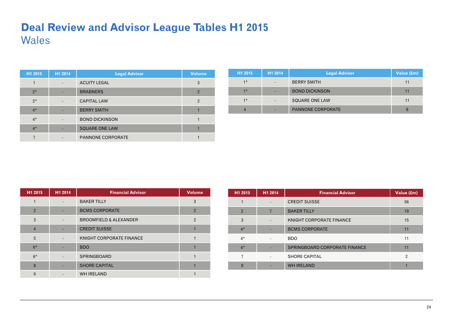### **Deal Review and Advisor League Tables H1 2015**  Wales

| H1 2015 | H <sub>1</sub> 2014      | <b>Legal Advisor</b>     | <b>Volume</b>  |
|---------|--------------------------|--------------------------|----------------|
|         | $\overline{\phantom{a}}$ | <b>ACUITY LEGAL</b>      | 3              |
| $2*$    |                          | <b>BRABNERS</b>          | $\overline{2}$ |
| $2*$    | $\overline{\phantom{a}}$ | <b>CAPITAL LAW</b>       | $\overline{2}$ |
| $4*$    |                          | <b>BERRY SMITH</b>       |                |
| $4*$    |                          | <b>BOND DICKINSON</b>    |                |
| $4*$    |                          | <b>SQUARE ONE LAW</b>    |                |
|         |                          | <b>PANNONE CORPORATE</b> |                |

| H <sub>1</sub> 2015 | H <sub>1</sub> 2014 | <b>Legal Advisor</b>     | Value (£m) |
|---------------------|---------------------|--------------------------|------------|
| $1*$                |                     | <b>BERRY SMITH</b>       |            |
| $1*$                |                     | <b>BOND DICKINSON</b>    |            |
| $1*$                | -                   | SQUARE ONE LAW           |            |
|                     |                     | <b>PANNONE CORPORATE</b> |            |

| H1 2015        | H1 2014 | <b>Financial Advisor</b>          | <b>Volume</b>  |
|----------------|---------|-----------------------------------|----------------|
|                |         | <b>BAKER TILLY</b>                | 3              |
| $\overline{2}$ |         | <b>BCMS CORPORATE</b>             | $\overline{2}$ |
| 3              |         | <b>BROOMFIELD &amp; ALEXANDER</b> | $\overline{2}$ |
| $\overline{4}$ |         | <b>CREDIT SUISSE</b>              |                |
| 5              |         | KNIGHT CORPORATE FINANCE          |                |
| $6*$           |         | <b>BDO</b>                        |                |
| $6*$           |         | <b>SPRINGBOARD</b>                |                |
| 8              |         | <b>SHORE CAPITAL</b>              |                |
| 9              |         | <b>WH IRELAND</b>                 |                |

| H <sub>1</sub> 2015 | H1 2014        | <b>Financial Advisor</b>      | Value (£m)     |
|---------------------|----------------|-------------------------------|----------------|
|                     |                | <b>CREDIT SUISSE</b>          | 56             |
| $\overline{2}$      | 7              | <b>BAKER TILLY</b>            | 19             |
| 3                   |                | KNIGHT CORPORATE FINANCE      | 15             |
| $4*$                |                | <b>BCMS CORPORATE</b>         | 11             |
| $4*$                | $\overline{a}$ | <b>BDO</b>                    | 11             |
| $4*$                |                | SPRINGBOARD CORPORATE FINANCE | 11             |
|                     |                | <b>SHORE CAPITAL</b>          | $\overline{2}$ |
| 8                   |                | <b>WH IRELAND</b>             |                |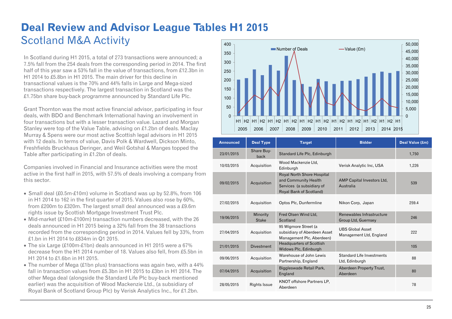#### **Deal Review and Advisor League Tables H1 2015**  Scotland M&A Activity 400

In Scotland during H1 2015, a total of 273 transactions were announced; a 7.5% fall from the 254 deals from the corresponding period in 2014. The first half of this year saw a 53% fall in the value of transactions, from £12.3bn in H1 2014 to £5.8bn in H1 2015. The main driver for this decline in transactional values is the 70% and 44% falls in Large and Mega-sized transactions respectively. The largest transaction in Scotland was the £1.75bn share buy-back programme announced by Standard Life Plc.

Grant Thornton was the most active financial advisor, participating in four deals, with BDO and Benchmark International having an involvement in four transactions but with a lesser transaction value. Lazard and Morgan Stanley were top of the Value Table, advising on £1.2bn of deals. Maclay Murray & Spens were our most active Scottish legal advisors in H1 2015 with 12 deals. In terms of value, Davis Polk & Wardwell, Dickson Minto, Freshfields Bruckhaus Deringer, and Weil Gotshal & Manges topped the Table after participating in £1.2bn of deals.

Companies involved in Financial and Insurance activities were the most active in the first half in 2015, with 57.5% of deals involving a company from this sector.

- Small deal (£0.5m-£10m) volume in Scotland was up by 52.8%, from 106 in H1 2014 to 162 in the first quarter of 2015. Values also rose by 60%, from £200m to £320m. The largest small deal announced was a £9.6m rights issue by Scottish Mortgage Investment Trust Plc.
- Mid-market (£10m-£100m) transaction numbers decreased, with the 26 deals announced in H1 2015 being a 32% fall from the 38 transactions recorded from the corresponding period in 2014. Values fell by 33%, from £1.bn in H1 2014 to £834m in Q1 2015.
- The six Large (£100m-£1bn) deals announced in H1 2015 were a 67% decrease from the H1 2014 number of 18. Values also fell, from £5.5bn in H1 2014 to £1.6bn in H1 2015.
- The number of Mega (£1bn plus) transactions was again two, with a 44% fall in transaction values from £5.3bn in H1 2015 to £3bn in H1 2014. The other Mega deal (alongside the Standard Life Plc buy-back mentioned earlier) was the acquisition of Wood Mackenzie Ltd., (a subsidiary of Royal Bank of Scotland Group Plc) by Verisk Analytics Inc., for £1.2bn.



| <b>Announced</b> | <b>Deal Type</b>         | <b>Target</b>                                                                                              | <b>Bidder</b>                                      | Deal Value (£m) |
|------------------|--------------------------|------------------------------------------------------------------------------------------------------------|----------------------------------------------------|-----------------|
| 23/01/2015       | Share Buy-<br>back       | Standard Life Plc, Edinburgh                                                                               |                                                    | 1,750           |
| 10/03/2015       | Acquisition              | Wood Mackenzie Ltd,<br>Edinburgh                                                                           | Verisk Analytic Inc, USA                           | 1.226           |
| 09/02/2015       | Acquisition              | Royal North Shore Hospital<br>and Community Health<br>Services (a subsidiary of<br>Royal Bank of Scotland) | AMP Capital Investors Ltd.<br>Australia            | 539             |
| 27/02/2015       | Acquisition              | Optos Plc, Dunfermline                                                                                     | Nikon Corp, Japan                                  | 259.4           |
| 19/06/2015       | Minority<br><b>Stake</b> | Fred Olsen Wind Ltd,<br>Scotland                                                                           | Renewables Infrastructure<br>Group Ltd, Guernsey   | 246             |
| 27/04/2015       | Acquisition              | 95 Wigmore Street (a<br>subsidiary of Aberdeen Asset<br>Management Plc, Aberdeen)                          | <b>UBS Global Asset</b><br>Management Ltd, England | 222             |
| 21/01/2015       | <b>Divestment</b>        | <b>Headquarters of Scottish</b><br>Widows Plc, Edinburgh                                                   |                                                    | 105             |
| 09/06/2015       | Acquisition              | Warehouse of John Lewis<br>Partnership, England                                                            | Standard Life Investments<br>Ltd, Edinburgh        | 88              |
| 07/04/2015       | Acquisition              | Biggleswade Retail Park,<br>England                                                                        | Aberdeen Property Trust,<br>Aberdeen               | 80              |
| 28/05/2015       | <b>Rights Issue</b>      | <b>KNOT offshore Partners LP,</b><br>Aberdeen                                                              |                                                    | 78              |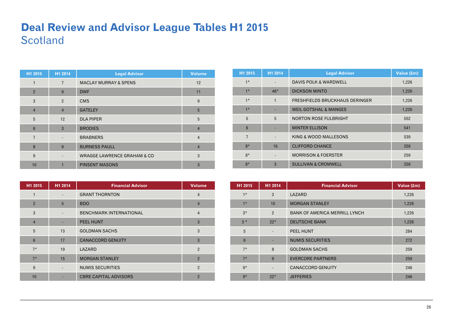### **Deal Review and Advisor League Tables H1 2015 Scotland**

| H1 2015        | H1 2014        | <b>Legal Advisor</b>                   | <b>Volume</b>  |
|----------------|----------------|----------------------------------------|----------------|
|                | $\overline{7}$ | <b>MACLAY MURRAY &amp; SPENS</b>       | 12             |
| $\overline{2}$ | 6              | <b>DWF</b>                             | 11             |
| 3              | $\overline{2}$ | <b>CMS</b>                             | 9              |
| $\overline{4}$ | $\overline{4}$ | <b>GATELEY</b>                         | 5              |
| 5              | 12             | <b>DLA PIPER</b>                       | 5              |
| 6              | 3              | <b>BRODIES</b>                         | $\overline{4}$ |
| $\overline{7}$ |                | <b>BRABNERS</b>                        | $\overline{4}$ |
| 8              | 9              | <b>BURNESS PAULL</b>                   | $\overline{4}$ |
| 9              |                | <b>WRAGGE LAWRENCE GRAHAM &amp; CO</b> | 3              |
| 10             | 1              | <b>PINSENT MASONS</b>                  | 3              |

| H1 2015        | H1 2014                  | <b>Financial Advisor</b>       | <b>Volume</b>  |
|----------------|--------------------------|--------------------------------|----------------|
| 1              |                          | <b>GRANT THORNTON</b>          | $\overline{4}$ |
| $\overline{2}$ | 5                        | <b>BDO</b>                     | $\overline{4}$ |
| 3              | $\overline{\phantom{a}}$ | <b>BENCHMARK INTERNATIONAL</b> | $\overline{4}$ |
| $\overline{4}$ |                          | <b>PEEL HUNT</b>               | 3              |
| 5              | 13                       | <b>GOLDMAN SACHS</b>           | 3              |
| $6\phantom{1}$ | 17                       | <b>CANACCORD GENUITY</b>       | 3              |
| $7*$           | 19                       | LAZARD                         | $\overline{2}$ |
| $7*$           | 15                       | <b>MORGAN STANLEY</b>          | $\overline{2}$ |
| 9              |                          | <b>NUMIS SECURITIES</b>        | $\overline{2}$ |
| 10             |                          | <b>CBRE CAPITAL ADVISORS</b>   | $\overline{2}$ |

| H1 2015        | H1 2014      | <b>Legal Advisor</b>                  | Value (£m) |
|----------------|--------------|---------------------------------------|------------|
| $1*$           |              | DAVIS POLK & WARDWELL                 | 1,226      |
| $1*$           | $46*$        | <b>DICKSON MINTO</b>                  | 1,226      |
| $1*$           | $\mathbf{1}$ | <b>FRESHFIELDS BRUCKHAUS DERINGER</b> | 1,226      |
| $1*$           |              | <b>WEIL GOTSHAL &amp; MANGES</b>      | 1,226      |
| 5              | 5            | <b>NORTON ROSE FULBRIGHT</b>          | 552        |
| $6\phantom{1}$ |              | <b>MINTER ELLISON</b>                 | 541        |
| $\overline{7}$ |              | KING & WOOD MALLESONS                 | 539        |
| $8*$           | 16           | <b>CLIFFORD CHANCE</b>                | 259        |
| $8*$           |              | <b>MORRISON &amp; FOERSTER</b>        | 259        |
| $8*$           | 3            | <b>SULLIVAN &amp; CROMWELL</b>        | 259        |

| H <sub>1</sub> 2015 | H1 2014        | <b>Financial Advisor</b>             | Value (£m) |
|---------------------|----------------|--------------------------------------|------------|
| $1*$                | 3              | LAZARD                               | 1,226      |
| $1*$                | 10             | <b>MORGAN STANLEY</b>                | 1,226      |
| $3*$                | $\overline{2}$ | <b>BANK OF AMERICA MERRILL LYNCH</b> | 1,226      |
| $3*$                | $22*$          | <b>DEUTSCHE BANK</b>                 | 1,226      |
| 5                   |                | <b>PEEL HUNT</b>                     | 284        |
| 6                   |                | <b>NUMIS SECURITIES</b>              | 272        |
| $7*$                | 8              | <b>GOLDMAN SACHS</b>                 | 259        |
| $7*$                | 9              | <b>EVERCORE PARTNERS</b>             | 259        |
| $9*$                |                | <b>CANACCORD GENUITY</b>             | 246        |
| $9*$                | $22*$          | <b>JEFFERIES</b>                     | 246        |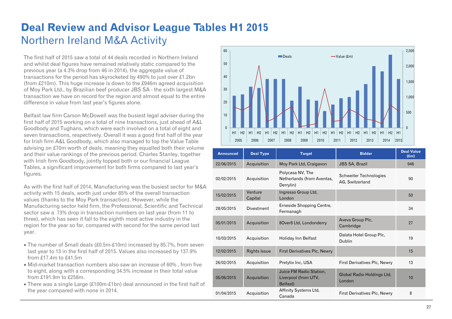### **Deal Review and Advisor League Tables H1 2015**  Northern Ireland M&A Activity

The first half of 2015 saw a total of 44 deals recorded in Northern Ireland and whilst deal figures have remained relatively static compared to the previous year (a 4.3% drop from 46 in 2014), the aggregate value of transactions for the period has skyrocketed by 490% to just over £1.2bn (from £210m). This huge increase is down to the £946m agreed acquisition of Moy Park Ltd., by Brazilian beef producer JBS SA - the sixth largest M&A transaction we have on record for the region and almost equal to the entire difference in value from last year's figures alone.

Belfast law firm Carson McDowell was the busiest legal adviser during the first half of 2015 working on a total of nine transactions, just ahead of A&L Goodbody and Tughans, which were each involved on a total of eight and seven transactions, respectively. Overall it was a good first half of the year for Irish firm A&L Goodbody, which also managed to top the Value Table advising on £70m worth of deals, meaning they equalled both their volume and their value rankings of the previous period. Charles Stanley, together with Irish firm Goodbody, jointly topped both or our financial League Tables, a significant improvement for both firms compared to last year's figures.

As with the first half of 2014, Manufacturing was the busiest sector for M&A activity with 15 deals, worth just under 85% of the overall transaction values (thanks to the Moy Park transaction). However, while the Manufacturing sector held firm, the Professional, Scientific and Technical sector saw a 73% drop in transaction numbers on last year (from 11 to three), which has seen it fall to the eighth most active industry in the region for the year so far, compared with second for the same period last year.

- The number of Small deals (£0.5m-£10m) increased by 85.7%, from seven last year to 13 in the first half of 2015. Values also increased by 137.9% from £17.4m to £41.5m
- Mid-market transaction numbers also saw an increase of 60%, from five to eight, along with a corresponding 34.5% increase in their total value from £191.9m to £258m.
- There was a single Large (£100m-£1bn) deal announced in the first half of the year compared with none in 2014.



| <b>Announced</b> | <b>Deal Type</b>    | <b>Target</b>                                               | <b>Bidder</b>                             | <b>Deal Value</b><br>$(\text{Em})$ |
|------------------|---------------------|-------------------------------------------------------------|-------------------------------------------|------------------------------------|
| 22/06/2015       | Acquisition         | Moy Park Ltd, Craigavon                                     | <b>JBS SA, Brazil</b>                     | 946                                |
| 02/02/2015       | Acquisition         | Polycasa NV, The<br>Netherlands (from Aventas,<br>Derrylin) | Schweiter Technologies<br>AG, Switzerland | 90                                 |
| 15/02/2015       | Venture<br>Capital  | Ingresso Group Ltd,<br>London                               |                                           | 50                                 |
| 28/05/2015       | <b>Divestment</b>   | Erneside Shopping Centre,<br>Fermanagh                      |                                           | 34                                 |
| 05/01/2015       | Acquisition         | 8Over8 Ltd, Londonderry                                     | Aveva Group Plc,<br>Cambridge             | 27                                 |
| 10/03/2015       | Acquisition         | Holiday Inn Belfast                                         | Dalata Hotel Group Plc,<br><b>Dublin</b>  | 19                                 |
| 12/02/2015       | <b>Rights Issue</b> | <b>First Derivatives Plc, Newry</b>                         |                                           | 15                                 |
| 26/02/2015       | Acquisition         | Prelytix Inc, USA                                           | First Derivatives Plc, Newry              | 13                                 |
| 05/06/2015       | Acquisition         | Juice FM Radio Station,<br>Liverpool (from UTV,<br>Belfast) | Global Radio Holdings Ltd,<br>London      | 10                                 |
| 01/04/2015       | Acquisition         | Affinity Systems Ltd,<br>Canada                             | First Derivatives Plc, Newry              | 8                                  |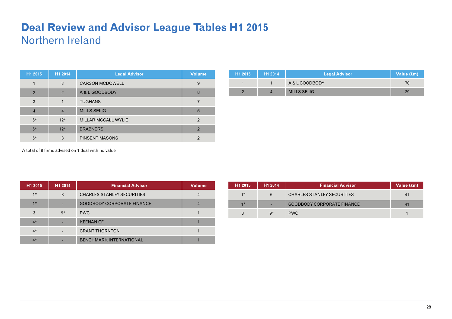#### **Deal Review and Advisor League Tables H1 2015**  Northern Ireland

| H1 2015        | H1 2014        | <b>Legal Advisor</b>   | <b>Volume</b> |
|----------------|----------------|------------------------|---------------|
|                | 3              | <b>CARSON MCDOWELL</b> | 9             |
| $\overline{2}$ | $\overline{2}$ | A & L GOODBODY         | 8             |
| 3              | 1              | <b>TUGHANS</b>         |               |
| $\overline{4}$ | $\overline{4}$ | <b>MILLS SELIG</b>     | 5             |
| $5*$           | $12*$          | MILLAR MCCALL WYLIE    | $\mathcal{P}$ |
| $5*$           | $12*$          | <b>BRABNERS</b>        | 2             |
| $5*$           | 8              | <b>PINSENT MASONS</b>  | າ             |

| H1 2015 | H <sub>1</sub> 2014 | <b>Legal Advisor</b> | Value (£m) |
|---------|---------------------|----------------------|------------|
|         |                     | A & L GOODBODY       | 70         |
|         |                     | <b>MILLS SELIG</b>   | 29         |

A total of 8 firms advised on 1 deal with no value

| H1 2015 | H1 2014 | <b>Financial Advisor</b>          | <b>Volume</b> |
|---------|---------|-----------------------------------|---------------|
| $1*$    | 8       | <b>CHARLES STANLEY SECURITIES</b> |               |
| $1*$    |         | <b>GOODBODY CORPORATE FINANCE</b> |               |
| 3       | $9*$    | <b>PWC</b>                        |               |
| $4*$    |         | <b>KEENAN CF</b>                  |               |
| $4*$    |         | <b>GRANT THORNTON</b>             |               |
| $4*$    |         | <b>BENCHMARK INTERNATIONAL</b>    |               |

| H1 2015 | H <sub>1</sub> 2014 | <b>Financial Advisor</b>          | Value (£m)     |
|---------|---------------------|-----------------------------------|----------------|
| $1*$    | 6                   | <b>CHARLES STANLEY SECURITIES</b> | 4 <sup>1</sup> |
| $1*$    |                     | <b>GOODBODY CORPORATE FINANCE</b> | 4 <sup>1</sup> |
| K       | $Q*$                | PWC.                              |                |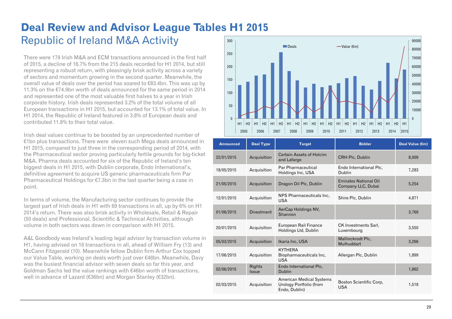#### **Deal Review and Advisor League Tables H1 2015**  Republic of Ireland M&A Activity 300

There were 179 Irish M&A and ECM transactions announced in the first half of 2015, a decline of 16.7% from the 215 deals recorded for H1 2014, but still representing a robust return, with pleasingly brisk activity across a variety of sectors and momentum growing in the second quarter. Meanwhile, the overall value of deals over the period has soared to €83.4bn. This was up by 11.3% on the €74.9bn worth of deals announced for the same period in 2014 and represented one of the most valuable first halves to a year in Irish corporate history. Irish deals represented 3.2% of the total volume of all European transactions in H1 2015, but accounted for 13.1% of total value. In H1 2014, the Republic of Ireland featured in 3.8% of European deals and contributed 11.8% to their total value.

Irish deal values continue to be boosted by an unprecedented number of €1bn plus transactions. There were eleven such Mega deals announced in H1 2015, compared to just three in the corresponding period of 2014, with the Pharmaceutical sector proving particularly fertile grounds for big-ticket M&A. Pharma deals accounted for six of the Republic of Ireland's ten biggest deals in H1 2015, with Dublin corporate, Endo International's, definitive agreement to acquire US generic pharmaceuticals firm Par Pharmaceutical Holdings for  $\epsilon$ 7.3bn in the last quarter being a case in point.

In terms of volume, the Manufacturing sector continues to provide the largest part of Irish deals in H1 with 69 transactions in all, up by 6% on H1 2014's return. There was also brisk activity in Wholesale, Retail & Repair (50 deals) and Professional, Scientific & Technical Activities, although volume in both sectors was down in comparison with H1 2015.

A&L Goodbody was Ireland's leading legal advisor by transaction volume in H1, having advised on 16 transactions in all, ahead of William Fry (13) and McCann Fitzgerald (10). Meanwhile fellow Dublin firm Arthur Cox topped our Value Table, working on deals worth just over €48bn. Meanwhile, Davy was the busiest financial advisor with seven deals so far this year, and Goldman Sachs led the value rankings with €46bn worth of transactions, well in advance of Lazard (€36bn) and Morgan Stanley (€32bn).



| <b>Announced</b> | <b>Deal Type</b>       | <b>Target</b>                                                               | <b>Bidder</b>                                      | <b>Deal Value (€m)</b> |
|------------------|------------------------|-----------------------------------------------------------------------------|----------------------------------------------------|------------------------|
| 22/01/2015       | Acquisition            | Certain Assets of Holcim<br>and Lafarge                                     | CRH Plc, Dublin                                    | 8,009                  |
| 18/05/2015       | Acquisition            | Par Pharmaceutical<br>Holdings Inc, USA                                     | Endo International Plc.<br>Dublin                  | 7,283                  |
| 21/05/2015       | Acquisition            | Dragon Oil Plc, Dublin                                                      | <b>Emirates National Oil</b><br>Company LLC, Dubai | 5,254                  |
| 12/01/2015       | Acquisition            | NPS Pharmaceuticals Inc.<br><b>USA</b>                                      | Shire Plc, Dublin                                  | 4.871                  |
| 01/06/2015       | <b>Divestment</b>      | AerCap Holdings NV,<br>Shannon                                              |                                                    | 3,769                  |
| 20/01/2015       | Acquisition            | European Rail Finance<br>Holdings Ltd, Dublin                               | <b>CK Investments Sarl,</b><br>Luxembourg          | 3,550                  |
| 05/03/2015       | Acquisition            | Ikaria Inc, USA                                                             | Mallinckrodt Plc,<br>Mulhuddart                    | 3,266                  |
| 17/06/2015       | Acquisition            | <b>KYTHERA</b><br>Biopharmaceuticals Inc.<br><b>USA</b>                     | Allergan Plc, Dublin                               | 1,899                  |
| 02/06/2015       | Rights<br><b>Issue</b> | Endo International Plc,<br><b>Dublin</b>                                    |                                                    | 1,862                  |
| 02/03/2015       | Acquisition            | <b>American Medical Systems</b><br>Urology Portfolio (from<br>Endo, Dublin) | Boston Scientific Corp.<br><b>USA</b>              | 1,518                  |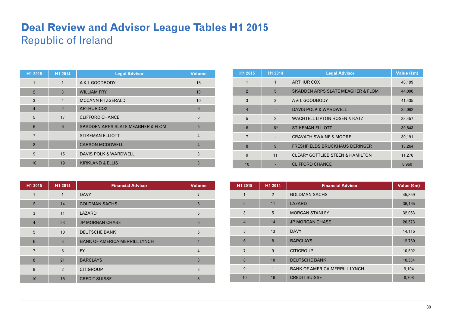### **Deal Review and Advisor League Tables H1 2015**  Republic of Ireland

| H1 2015        | H1 2014        | <b>Legal Advisor</b>                         | <b>Volume</b>  |
|----------------|----------------|----------------------------------------------|----------------|
|                | $\mathbf{1}$   | A & L GOODBODY                               | 16             |
| $\overline{2}$ | 3              | <b>WILLIAM FRY</b>                           | 13             |
| 3              | $\overline{4}$ | <b>MCCANN FITZGERALD</b>                     | 10             |
| $\overline{4}$ | $\overline{2}$ | <b>ARTHUR COX</b>                            | 6              |
| 5              | 17             | <b>CLIFFORD CHANCE</b>                       | 6              |
| 6              | $6\phantom{1}$ | <b>SKADDEN ARPS SLATE MEAGHER &amp; FLOM</b> | 5              |
| $\overline{7}$ |                | <b>STIKEMAN ELLIOTT</b>                      | $\overline{4}$ |
| 8              |                | <b>CARSON MCDOWELL</b>                       | $\overline{4}$ |
| 9              | 15             | DAVIS POLK & WARDWELL                        | 3              |
| 10             | 19             | <b>KIRKLAND &amp; ELLIS</b>                  | 3              |

| H1 2015        | H1 2014        | <b>Financial Advisor</b>             | <b>Volume</b>  |
|----------------|----------------|--------------------------------------|----------------|
| 1              | 1              | <b>DAVY</b>                          | 7              |
| 2              | 14             | <b>GOLDMAN SACHS</b>                 | 6              |
| 3              | 11             | LAZARD                               | 5              |
| $\overline{4}$ | 23             | <b>JP MORGAN CHASE</b>               | 5              |
| 5              | 10             | <b>DEUTSCHE BANK</b>                 | 5              |
| $6\phantom{1}$ | 3              | <b>BANK OF AMERICA MERRILL LYNCH</b> | $\overline{4}$ |
| $\overline{7}$ | 6              | EY                                   | $\overline{4}$ |
| 8              | 21             | <b>BARCLAYS</b>                      | 3              |
| 9              | $\overline{2}$ | <b>CITIGROUP</b>                     | 3              |
| 10             | 16             | <b>CREDIT SUISSE</b>                 | 3              |

| H1 2015        | H1 2014        | <b>Legal Advisor</b>                         | Value (€m) |
|----------------|----------------|----------------------------------------------|------------|
|                | 1              | <b>ARTHUR COX</b>                            | 48,199     |
| $\overline{2}$ | 5              | <b>SKADDEN ARPS SLATE MEAGHER &amp; FLOM</b> | 44,096     |
| 3              | 3              | A & L GOODBODY                               | 41,435     |
| $\overline{4}$ |                | <b>DAVIS POLK &amp; WARDWELL</b>             | 35,062     |
| 5              | $\overline{2}$ | <b>WACHTELL LIPTON ROSEN &amp; KATZ</b>      | 33,457     |
| 6              | $6*$           | <b>STIKEMAN ELLIOTT</b>                      | 30,843     |
| $\overline{7}$ |                | <b>CRAVATH SWAINE &amp; MOORE</b>            | 30,191     |
| 8              | 9              | <b>FRESHFIELDS BRUCKHAUS DERINGER</b>        | 13,264     |
| 9              | 11             | <b>CLEARY GOTTLIEB STEEN &amp; HAMILTON</b>  | 11,276     |
| 10             |                | <b>CLIFFORD CHANCE</b>                       | 8,960      |

| H1 2015         | H1 2014        | <b>Financial Advisor</b>             | Value (€m) |
|-----------------|----------------|--------------------------------------|------------|
| 1               | $\overline{2}$ | <b>GOLDMAN SACHS</b>                 | 45,859     |
| $\overline{2}$  | 11             | LAZARD                               | 36,165     |
| 3               | 5              | <b>MORGAN STANLEY</b>                | 32,053     |
| $\overline{4}$  | 14             | <b>JP MORGAN CHASE</b>               | 20,573     |
| 5               | 13             | <b>DAVY</b>                          | 14,116     |
| $6\phantom{1}6$ | 8              | <b>BARCLAYS</b>                      | 12,760     |
| $\overline{7}$  | 9              | <b>CITIGROUP</b>                     | 10,502     |
| 8               | 10             | <b>DEUTSCHE BANK</b>                 | 10,334     |
| 9               | 1              | <b>BANK OF AMERICA MERRILL LYNCH</b> | 9,104      |
| 10              | 16             | <b>CREDIT SUISSE</b>                 | 8,708      |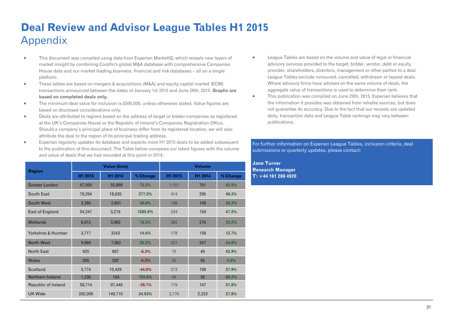# **Deal Review and Advisor League Tables H1 2015**  Appendix

- $\blacksquare$  This document was compiled using data from Experian MarketIQ, which reveals new layers of market insight by combining Corpfin's global M&A database with comprehensive Companies House data and our market leading business, financial and risk databases – all on a single platform.
- $\bullet$  These tables are based on mergers & acquisitions (M&A) and equity capital market (ECM) transactions announced between the dates of January 1st 2015 and June 26th. 2015. **Graphs are based on completed deals only.**
- $\bullet$  The minimum deal value for inclusion is £500,000, unless otherwise stated. Value figures are based on disclosed considerations only.
- $\bullet$  Deals are attributed to regions based on the address of target or bidder companies as registered at the UK's Companies House or the Republic of Ireland's Companies Registration Office. Should a company's principal place of business differ from its registered location, we will also attribute the deal to the region of its principal trading address.
- $\blacksquare$  Experian regularly updates its database and expects more H1 2015 deals to be added subsequent to the publication of this document. The Table below compares our latest figures with the volume and value of deals that we had recorded at this point in 2014:

|                       |                    | Value (£ms) |          | <b>Volume</b> |         |          |  |
|-----------------------|--------------------|-------------|----------|---------------|---------|----------|--|
| <b>Region</b>         | H1 2015<br>H1 2014 |             | % Change | H1 2015       | H1 2014 | % Change |  |
| <b>Greater London</b> | 97,959             | 55,898      | 75.2%    | 1,151         | 791     | 45.5%    |  |
| South East            | 70,294             | 18,635      | 277.2%   | 414           | 295     | 40.3%    |  |
| South West            | 3,380              | 2,601       | 30.0%    | 188           | 149     | 26.2%    |  |
| East of England       | 54,241             | 3,219       | 1585.0%  | 234           | 159     | 47.2%    |  |
| <b>Midlands</b>       | 6,912              | 3,960       | 74.5%    | 365           | 276     | 32.2%    |  |
| Yorkshire & Humber    | 3,717              | 3243        | 14.6%    | 178           | 158     | 12.7%    |  |
| North West            | 9,969              | 7,962       | 25.2%    | 331           | 247     | 34.0%    |  |
| North East            | 625                | 667         | $-6.3%$  | 70            | 49      | 42.9%    |  |
| Wales                 | 265                | 282         | $-6.0%$  | 52            | 50      | 4.0%     |  |
| Scotland              | 5,774              | 10,429      | $-44.6%$ | 273           | 198     | 37.9%    |  |
| Northern Ireland      | 1,236              | 154         | 702.6%   | 44            | 26      | 69.2%    |  |
| Republic of Ireland   | 58,714             | 97,440      | $-39.7%$ | 179           | 147     | 21.8%    |  |
| <b>UK Wide</b>        | 202,009            | 149,710     | 34.93%   | 2,776         | 2,223   | 27.8%    |  |

- $\bullet$  League Tables are based on the volume and value of legal or financial advisory services provided to the target, bidder, vendor, debt or equity provider, shareholders, directors, management or other parties to a deal. League Tables exclude rumoured, cancelled, withdrawn or lapsed deals. Where advisory firms have advised on the same volume of deals, the aggregate value of transactions is used to determine their rank.
- $\bullet$  This publication was compiled on June 29th. 2015. Experian believes that the information it provides was obtained from reliable sources, but does not guarantee its accuracy. Due to the fact that our records are updated daily, transaction data and League Table rankings may vary between publications.

#### For further information on Experian League Tables, inclusion criteria, deal submissions or quarterly updates, please contact:

**Jane Turner Research Manager T: +44 161 288 4920**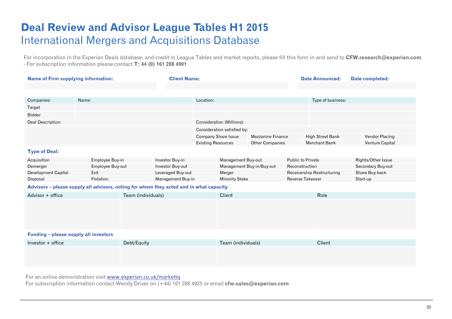### **Deal Review and Advisor League Tables H1 2015**  International Mergers and Acquisitions Database

For incorporation in the Experian Deals database, and credit in League Tables and market reports, please fill this form in and send to **CFW.research@experian.com**  - For subscription information please contact **T: 44 (0) 161 288 4901** 

| <b>Name of Firm supplying information:</b>                                             |       |                  | <b>Client Name:</b> |                   |                           |                                  | <b>Date Announced:</b>   | Date completed:          |                            |                    |
|----------------------------------------------------------------------------------------|-------|------------------|---------------------|-------------------|---------------------------|----------------------------------|--------------------------|--------------------------|----------------------------|--------------------|
|                                                                                        |       |                  |                     |                   |                           |                                  |                          |                          |                            |                    |
|                                                                                        |       |                  |                     |                   |                           |                                  |                          |                          |                            |                    |
| Companies:                                                                             | Name: |                  |                     |                   | Location:                 |                                  |                          |                          | Type of business:          |                    |
| Target                                                                                 |       |                  |                     |                   |                           |                                  |                          |                          |                            |                    |
| <b>Bidder</b>                                                                          |       |                  |                     |                   |                           |                                  |                          |                          |                            |                    |
| Deal Description:                                                                      |       |                  |                     |                   |                           | <b>Consideration (Millions):</b> |                          |                          |                            |                    |
|                                                                                        |       |                  |                     |                   |                           | Consideration satisfied by:      |                          |                          |                            |                    |
|                                                                                        |       |                  |                     |                   |                           | <b>Company Share Issue</b>       | <b>Mezzanine Finance</b> |                          | <b>High Street Bank</b>    | Vendor Placing     |
|                                                                                        |       |                  |                     |                   | <b>Existing Resources</b> |                                  | <b>Other Companies</b>   |                          | <b>Merchant Bank</b>       | Venture Capital    |
| <b>Type of Deal:</b>                                                                   |       |                  |                     |                   |                           |                                  |                          |                          |                            |                    |
| Acquisition                                                                            |       | Employee Buy-in  |                     | Investor Buy-in   |                           | Management Buy-out               |                          | <b>Public to Private</b> |                            | Rights/Other Issue |
| Demerger                                                                               |       | Employee Buy-out |                     | Investor Buy-out  |                           | Management Buy-in/Buy-out        |                          | Reconstruction           |                            | Secondary Buy-out  |
| Development Capital                                                                    | Exit  |                  |                     | Leveraged Buy-out |                           | Merger                           |                          |                          | Receivership Restructuring | Share Buy-back     |
| Disposal                                                                               |       | Flotation        |                     | Management Buy-in |                           | <b>Minority Stake</b>            |                          | <b>Reverse Takeover</b>  |                            | Start-up           |
| Advisors - please supply all advisors, noting for whom they acted and in what capacity |       |                  |                     |                   |                           |                                  |                          |                          |                            |                    |
| Advisor + office                                                                       |       |                  | Team (individuals)  | Client            |                           |                                  | Role                     |                          |                            |                    |
|                                                                                        |       |                  |                     |                   |                           |                                  |                          |                          |                            |                    |
|                                                                                        |       |                  |                     |                   |                           |                                  |                          |                          |                            |                    |
|                                                                                        |       |                  |                     |                   |                           |                                  |                          |                          |                            |                    |
|                                                                                        |       |                  |                     |                   |                           |                                  |                          |                          |                            |                    |
| Funding - please supply all investors                                                  |       |                  |                     |                   |                           |                                  |                          |                          |                            |                    |
|                                                                                        |       |                  |                     |                   |                           |                                  |                          |                          |                            |                    |
| Investor $+$ office<br>Debt/Equity                                                     |       |                  | Team (individuals)  |                   |                           | Client                           |                          |                          |                            |                    |
|                                                                                        |       |                  |                     |                   |                           |                                  |                          |                          |                            |                    |
|                                                                                        |       |                  |                     |                   |                           |                                  |                          |                          |                            |                    |
|                                                                                        |       |                  |                     |                   |                           |                                  |                          |                          |                            |                    |

For an online demonstration visit [www.experian.co.uk/marke](http://www.experian.co.uk/marketiq)tiq

For subscription information contact Wendy Driver on (+44) 161 288 4925 or email **cfw.sales@experian.com**